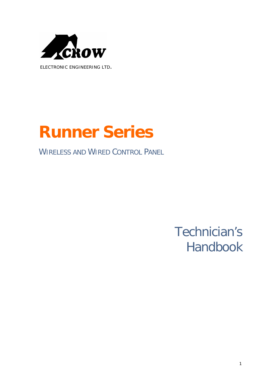

*ELECTRONIC ENGINEERING LTD.* 

# **Runner Series**

# WIRELESS AND WIRED CONTROL PANEL

# Technician's Handbook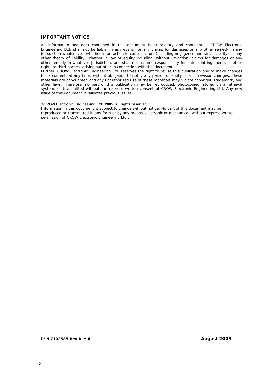#### **IMPORTANT NOTICE**

All information and data contained in this document is proprietary and confidential. CROW Electronic Engineering Ltd. shall not be liable, in any event, for any claims for damages or any other remedy in any jurisdiction whatsoever, whether in an action in contract, tort (including negligence and strict liability) or any other theory of liability, whether in law or equity including, without limitation, claims for damages or any other remedy in whatever jurisdiction, and shall not assume responsibility for patent infringements or other rights to third parties, arising out of or in connection with this document.

Further, CROW Electronic Engineering Ltd. reserves the right to revise this publication and to make changes to its content, at any time, without obligation to notify any person or entity of such revision changes. These materials are copyrighted and any unauthorized use of these materials may violate copyright, trademark, and other laws. Therefore, no part of this publication may be reproduced, photocopied, stored on a retrieval system, or transmitted without the express written consent of CROW Electronic Engineering Ltd. Any new issue of this document invalidates previous issues.

#### **©CROW Electronic Engineering Ltd. 2005. All rights reserved.**

Information in this document is subject to change without notice. No part of this document may be reproduced or transmitted in any form or by any means, electronic or mechanical, without express written permission of CROW Electronic Engineering Ltd..

**P/N 7102585 Rev A Y.A August 2005**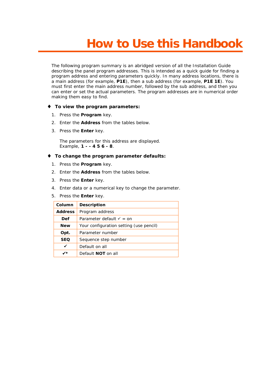# **How to Use this Handbook**

The following program summary is an abridged version of all the Installation Guide describing the panel program addresses. This is intended as a quick guide for finding a program address and entering parameters quickly. In many address locations, there is a main address (for example, **P1E**), then a sub address (for example, **P1E 1E**). You must first enter the main address number, followed by the sub address, and then you can enter or set the actual parameters. The program addresses are in numerical order making them easy to find.

#### ♦ **To view the program parameters:**

- 1. Press the **Program** key.
- 2. Enter the **Address** from the tables below.
- 3. Press the **Enter** key.

The parameters for this address are displayed. Example, **1 - - 4 5 6 - 8**.

#### ♦ **To change the program parameter defaults:**

- 1. Press the **Program** key.
- 2. Enter the **Address** from the tables below.
- 3. Press the **Enter** key.
- 4. Enter data or a numerical key to change the parameter.
- 5. Press the **Enter** key.

| Column         | Description                             |  |
|----------------|-----------------------------------------|--|
| <b>Address</b> | Program address                         |  |
| Def            | Parameter default $\checkmark$ = on     |  |
| <b>New</b>     | Your configuration setting (use pencil) |  |
| Opt.           | Parameter number                        |  |
| <b>SEQ</b>     | Sequence step number                    |  |
| ✔              | Default on all                          |  |
| ✔              | Default <b>NOT</b> on all               |  |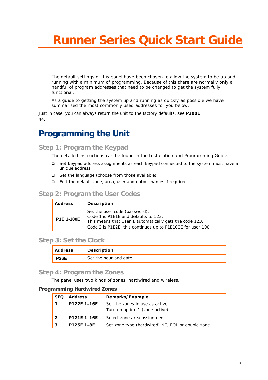# **Runner Series Quick Start Guide**

The default settings of this panel have been chosen to allow the system to be up and running with a minimum of programming. Because of this there are normally only a handful of program addresses that need to be changed to get the system fully functional.

As a guide to getting the system up and running as quickly as possible we have summarised the most commonly used addresses for you below.

Just in case, you can always return the unit to the factory defaults, see **P200E**  44.

# **Programming the Unit**

**Step 1: Program the Keypad** 

The detailed instructions can be found in the Installation and Programming Guide.

- □ Set keypad address assignments as each keypad connected to the system must have a unique address
- □ Set the language (choose from those available)
- $\Box$  Edit the default zone, area, user and output names if required

### **Step 2: Program the User Codes**

| <b>Address</b>    | Description                                                                                                                                                                                     |
|-------------------|-------------------------------------------------------------------------------------------------------------------------------------------------------------------------------------------------|
| <b>P1E 1-100E</b> | Set the user code (password).<br>Code 1 is P1E1E and defaults to 123.<br>This means that User 1 automatically gets the code 123.<br>Code 2 is P1E2E, this continues up to P1E100E for user 100. |

## **Step 3: Set the Clock**

| Address     | Description            |
|-------------|------------------------|
| <b>P26E</b> | Set the hour and date. |

#### **Step 4: Program the Zones**

The panel uses two kinds of zones, hardwired and wireless.

#### **Programming Hardwired Zones**

| <b>SEQ</b> | <b>Address</b> | Remarks/Example                                                   |
|------------|----------------|-------------------------------------------------------------------|
|            | P122E 1-16E    | Set the zones in use as active<br>Turn on option 1 (zone active). |
|            | P121E 1-16E    | Select zone area assignment.                                      |
| 3          | P125F 1-8F     | Set zone type (hardwired) NC, EOL or double zone.                 |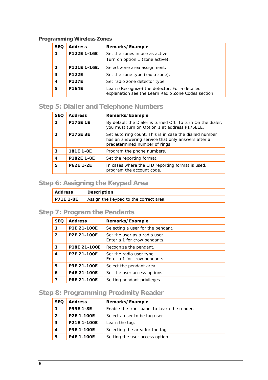## **Programming Wireless Zones**

| <b>SEQ</b>     | <b>Address</b> | Remarks/Example                                                                                       |
|----------------|----------------|-------------------------------------------------------------------------------------------------------|
| 1              | P122E 1-16E    | Set the zones in use as active.<br>Turn on option 1 (zone active).                                    |
| $\overline{2}$ | P121E 1-16E.   | Select zone area assignment.                                                                          |
| 3              | <b>P122E</b>   | Set the zone type (radio zone).                                                                       |
| 4              | <b>P127E</b>   | Set radio zone detector type.                                                                         |
| 5              | <b>P164E</b>   | Learn (Recognize) the detector. For a detailed<br>explanation see the Learn Radio Zone Codes section. |

# **Step 5: Dialler and Telephone Numbers**

| <b>SEQ</b>     | <b>Address</b>   | Remarks/Example                                                                                                                                 |
|----------------|------------------|-------------------------------------------------------------------------------------------------------------------------------------------------|
|                | <b>P175E 1E</b>  | By default the Dialer is turned Off. To turn On the dialer,<br>you must turn on Option 1 at address P175E1E.                                    |
| $\mathfrak{p}$ | <b>P175E 3E</b>  | Set auto ring count. This is in case the dialled number<br>has an answering service that only answers after a<br>predetermined number of rings. |
| 3              | 181E 1-8E        | Program the phone numbers.                                                                                                                      |
| 4              | P182E 1-8E       | Set the reporting format.                                                                                                                       |
| 5              | <b>P62E 1-2E</b> | In cases where the CID reporting format is used,<br>program the account code.                                                                   |

# **Step 6: Assigning the Keypad Area**

| ' Address        | Description                            |
|------------------|----------------------------------------|
| <b>P71E 1-8E</b> | Assign the keypad to the correct area. |

# **Step 7: Program the Pendants**

| <b>SEQ</b>     | <b>Address</b> | Remarks/Example                                               |
|----------------|----------------|---------------------------------------------------------------|
| 1              | P1E 21-100E    | Selecting a user for the pendant.                             |
| $\overline{2}$ | P2E 21-100E    | Set the user as a radio user.<br>Enter a 1 for crow pendants. |
| 3              | P18E 21-100E   | Recognize the pendant.                                        |
| $\overline{4}$ | P7E 21-100E    | Set the radio user type.<br>Enter a 1 for crow pendants.      |
| 5              | P3E 21-100E    | Select the pendant area.                                      |
| 6              | P4E 21-100E    | Set the user access options.                                  |
| 7              | P8E 21-100E    | Setting pendant privileges.                                   |

## **Step 8: Programming Proximity Reader**

| <b>SEQ</b> | <b>Address</b> | Remarks/Example                             |
|------------|----------------|---------------------------------------------|
| 1          | P99E 1-8E      | Enable the front panel to Learn the reader. |
| 2          | P2E 1-100E     | Select a user to be tag user.               |
| 3          | P21E 1-100E    | Learn the tag.                              |
| 4          | P3E 1-100E     | Selecting the area for the tag.             |
| 5          | P4E 1-100E     | Setting the user access option.             |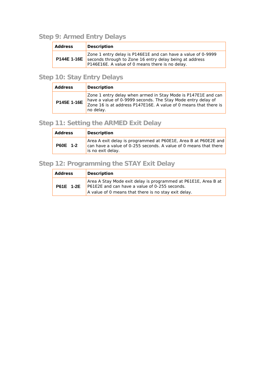# **Step 9: Armed Entry Delays**

| Address | Description                                                                                                                                                                                   |  |
|---------|-----------------------------------------------------------------------------------------------------------------------------------------------------------------------------------------------|--|
|         | Zone 1 entry delay is P146E1E and can have a value of 0-9999<br><b>P144E 1-16E</b> seconds through to Zone 16 entry delay being at address<br>P146E16E. A value of 0 means there is no delay. |  |

## **Step 10: Stay Entry Delays**

| Address     | <b>Description</b>                                                                                                                                                                                             |  |
|-------------|----------------------------------------------------------------------------------------------------------------------------------------------------------------------------------------------------------------|--|
| P145E 1-16E | Zone 1 entry delay when armed in Stay Mode is P147E1E and can<br>have a value of 0-9999 seconds. The Stay Mode entry delay of<br>Zone 16 is at address P147E16E. A value of 0 means that there is<br>no delay. |  |

# **Step 11: Setting the ARMED Exit Delay**

| Address         | <b>Description</b>                                                                                                                                       |
|-----------------|----------------------------------------------------------------------------------------------------------------------------------------------------------|
| <b>P60E 1-2</b> | Area A exit delay is programmed at P60E1E, Area B at P60E2E and<br>can have a value of 0-255 seconds. A value of 0 means that there<br>is no exit delay. |

# **Step 12: Programming the STAY Exit Delay**

| Address          | Description                                                                                                                                                             |
|------------------|-------------------------------------------------------------------------------------------------------------------------------------------------------------------------|
| <b>P61E 1-2E</b> | Area A Stay Mode exit delay is programmed at P61E1E, Area B at<br>P61E2E and can have a value of 0-255 seconds.<br>A value of 0 means that there is no stay exit delay. |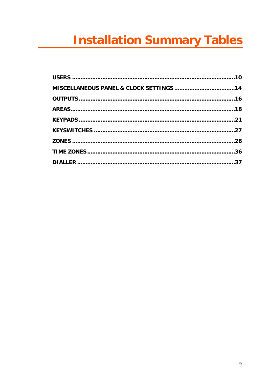# **Installation Summary Tables**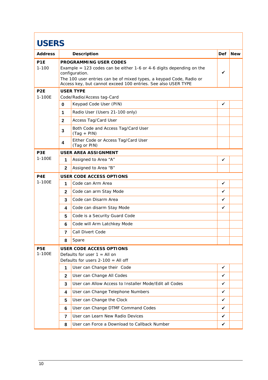| <b>USERS</b>                 |                         |                                                                                                                                                                                                                                                          |     |            |
|------------------------------|-------------------------|----------------------------------------------------------------------------------------------------------------------------------------------------------------------------------------------------------------------------------------------------------|-----|------------|
| <b>Address</b>               |                         | Description                                                                                                                                                                                                                                              | Def | <b>New</b> |
| P <sub>1E</sub><br>$1 - 100$ |                         | PROGRAMMING USER CODES<br>Example = 123 codes can be either 1-6 or 4-6 digits depending on the<br>configuration.<br>The 100 user entries can be of mixed types, a keypad Code, Radio or<br>Access key, but cannot exceed 100 entries. See also USER TYPE | ✓   |            |
| P <sub>2</sub> E<br>1-100E   |                         | <b>USER TYPE</b><br>Code/Radio/Access tag-Card                                                                                                                                                                                                           |     |            |
|                              | $\mathbf 0$             | Keypad Code User (PIN)                                                                                                                                                                                                                                   | ✓   |            |
|                              | 1                       | Radio User (Users 21-100 only)                                                                                                                                                                                                                           |     |            |
|                              | $\mathbf{2}$            | Access Tag/Card User                                                                                                                                                                                                                                     |     |            |
|                              | 3                       | Both Code and Access Tag/Card User<br>$(Tag + PIN)$                                                                                                                                                                                                      |     |            |
|                              | $\overline{\mathbf{4}}$ | Either Code or Access Tag/Card User<br>(Tag or PIN)                                                                                                                                                                                                      |     |            |
| P <sub>3</sub> E             |                         | <b>USER AREA ASSIGNMENT</b>                                                                                                                                                                                                                              |     |            |
| 1-100E                       | 1                       | Assigned to Area "A"                                                                                                                                                                                                                                     | ✓   |            |
|                              | $\mathbf{2}$            | Assigned to Area "B"                                                                                                                                                                                                                                     |     |            |
| P <sub>4E</sub>              |                         | USER CODE ACCESS OPTIONS                                                                                                                                                                                                                                 |     |            |
| 1-100E                       | 1                       | Code can Arm Area                                                                                                                                                                                                                                        | ✓   |            |
|                              | $\mathbf{2}$            | Code can arm Stay Mode                                                                                                                                                                                                                                   | ✓   |            |
|                              | 3                       | Code can Disarm Area                                                                                                                                                                                                                                     | ✓   |            |
|                              | 4                       | Code can disarm Stay Mode                                                                                                                                                                                                                                | ✓   |            |
|                              | 5                       | Code is a Security Guard Code                                                                                                                                                                                                                            |     |            |
|                              | 6                       | Code will Arm Latchkey Mode                                                                                                                                                                                                                              |     |            |
|                              | $\overline{7}$          | Call Divert Code                                                                                                                                                                                                                                         |     |            |
|                              | 8                       | Spare                                                                                                                                                                                                                                                    |     |            |
| P <sub>5</sub> E<br>1-100E   |                         | USER CODE ACCESS OPTIONS<br>Defaults for user $1 =$ All on<br>Defaults for users $2-100 =$ All off                                                                                                                                                       |     |            |
|                              | 1                       | User can Change their Code                                                                                                                                                                                                                               | ✓   |            |
|                              | $\mathbf{2}$            | User can Change All Codes                                                                                                                                                                                                                                | ✓   |            |
|                              | 3                       | User can Allow Access to Installer Mode/Edit all Codes                                                                                                                                                                                                   | ✓   |            |
|                              | 4                       | User can Change Telephone Numbers                                                                                                                                                                                                                        | ✓   |            |
|                              | 5                       | User can Change the Clock                                                                                                                                                                                                                                | ✓   |            |
|                              | 6                       | User can Change DTMF Command Codes                                                                                                                                                                                                                       | ✓   |            |
|                              | 7                       | User can Learn New Radio Devices                                                                                                                                                                                                                         | ✓   |            |
|                              | 8                       | User can Force a Download to Callback Number                                                                                                                                                                                                             | ✓   |            |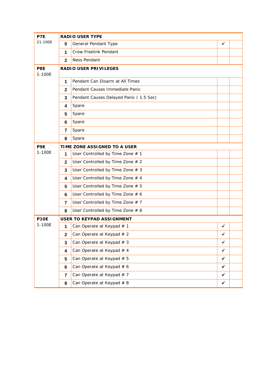| P7E           |                | <b>RADIO USER TYPE</b>                 |              |  |
|---------------|----------------|----------------------------------------|--------------|--|
| 21-100E       | 0              | General Pendant Type                   | ✓            |  |
|               | 1              | Crow Freelink Pendant                  |              |  |
|               | $\mathbf{2}$   | Ness Pendant                           |              |  |
| P8E<br>1-100E |                | RADIO USER PRIVILEGES                  |              |  |
|               | 1              | Pendant Can Disarm at All Times        |              |  |
|               | $\mathbf{2}$   | Pendant Causes Immediate Panic         |              |  |
|               | 3              | Pendant Causes Delayed Panic (1.5 Sec) |              |  |
|               | 4              | Spare                                  |              |  |
|               | 5              | Spare                                  |              |  |
|               | 6              | Spare                                  |              |  |
|               | 7              | Spare                                  |              |  |
|               | 8              | Spare                                  |              |  |
| P9E           |                | TIME ZONE ASSIGNED TO A USER           |              |  |
| 1-100E        | 1              | User Controlled by Time Zone # 1       |              |  |
|               | $\mathbf{2}$   | User Controlled by Time Zone # 2       |              |  |
|               | 3              | User Controlled by Time Zone # 3       |              |  |
|               | 4              | User Controlled by Time Zone # 4       |              |  |
|               | 5              | User Controlled by Time Zone # 5       |              |  |
|               | 6              | User Controlled by Time Zone # 6       |              |  |
|               | 7              | User Controlled by Time Zone # 7       |              |  |
|               | 8              | User Controlled by Time Zone # 8       |              |  |
| <b>P10E</b>   |                | USER TO KEYPAD ASSIGNMENT              |              |  |
| 1-100E        | 1              | Can Operate at Keypad # 1              | ✓            |  |
|               | $\mathbf{2}$   | Can Operate at Keypad # 2              | ∕            |  |
|               | 3              | Can Operate at Keypad # 3              | $\checkmark$ |  |
|               | 4              | Can Operate at Keypad # 4              | $\checkmark$ |  |
|               | 5              | Can Operate at Keypad # 5              | $\checkmark$ |  |
|               | 6              | Can Operate at Keypad # 6              | $\checkmark$ |  |
|               | $\overline{7}$ | Can Operate at Keypad # 7              | $\checkmark$ |  |
|               | 8              | Can Operate at Keypad # 8              | $\checkmark$ |  |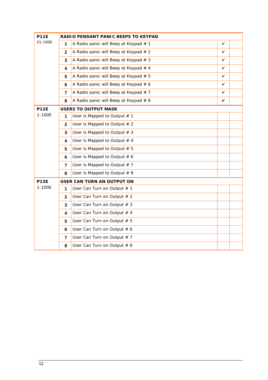| <b>P11E</b> |                | RADIO PENDANT PANIC BEEPS TO KEYPAD     |   |  |
|-------------|----------------|-----------------------------------------|---|--|
| 21-100E     | 1              | A Radio panic will Beep at Keypad # 1   | ✓ |  |
|             | $\mathbf{2}$   | A Radio panic will Beep at Keypad # 2   | ✓ |  |
|             | 3              | A Radio panic will Beep at Keypad $# 3$ | ✓ |  |
|             | 4              | A Radio panic will Beep at Keypad # 4   | ✓ |  |
|             | 5              | A Radio panic will Beep at Keypad # 5   | ✓ |  |
|             | 6              | A Radio panic will Beep at Keypad # 6   | ✓ |  |
|             | $\overline{7}$ | A Radio panic will Beep at Keypad # 7   | ✓ |  |
|             | 8              | A Radio panic will Beep at Keypad # 8   | ✓ |  |
| <b>P12E</b> |                | <b>USERS TO OUTPUT MASK</b>             |   |  |
| 1-100E      | $\mathbf{1}$   | User is Mapped to Output $# 1$          |   |  |
|             | $\mathbf{2}$   | User is Mapped to Output $# 2$          |   |  |
|             | 3              | User is Mapped to Output $# 3$          |   |  |
|             | 4              | User is Mapped to Output $# 4$          |   |  |
|             | 5              | User is Mapped to Output $# 5$          |   |  |
|             | 6              | User is Mapped to Output $# 6$          |   |  |
|             | $\overline{7}$ | User is Mapped to Output $# 7$          |   |  |
|             | 8              | User is Mapped to Output $# 8$          |   |  |
| <b>P13E</b> |                | USER CAN TURN AN OUTPUT ON              |   |  |
| 1-100E      | 1              | User Can Turn on Output # 1             |   |  |
|             | $\mathbf{2}$   | User Can Turn on Output # 2             |   |  |
|             | 3              | User Can Turn on Output # 3             |   |  |
|             | 4              | User Can Turn on Output # 4             |   |  |
|             | 5              | User Can Turn on Output # 5             |   |  |
|             | 6              | User Can Turn on Output # 6             |   |  |
|             | $\overline{7}$ | User Can Turn on Output # 7             |   |  |
|             | 8              | User Can Turn on Output # 8             |   |  |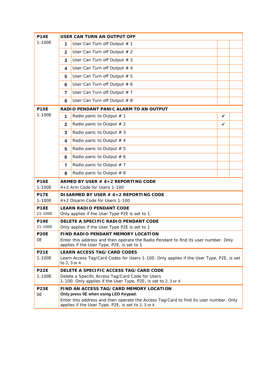| <b>P14E</b>            |              | USER CAN TURN AN OUTPUT OFF                                                                                                                 |   |  |
|------------------------|--------------|---------------------------------------------------------------------------------------------------------------------------------------------|---|--|
| 1-100E                 | 1            | User Can Turn off Output # 1                                                                                                                |   |  |
|                        | $\mathbf{2}$ | User Can Turn off Output # 2                                                                                                                |   |  |
|                        | 3            | User Can Turn off Output # 3                                                                                                                |   |  |
|                        | 4            | User Can Turn off Output # 4                                                                                                                |   |  |
|                        | 5            | User Can Turn off Output # 5                                                                                                                |   |  |
|                        | 6            | User Can Turn off Output # 6                                                                                                                |   |  |
|                        | 7            | User Can Turn off Output # 7                                                                                                                |   |  |
|                        | 8            | User Can Turn off Output # 8                                                                                                                |   |  |
| <b>P15E</b>            |              | RADIO PENDANT PANIC ALARM TO AN OUTPUT                                                                                                      |   |  |
| 1-100E                 | 1            | Radio panic to Output $# 1$                                                                                                                 | ✓ |  |
|                        | $\mathbf 2$  | Radio panic to Output $# 2$                                                                                                                 | ✓ |  |
|                        | 3            | Radio panic to Output # 3                                                                                                                   |   |  |
|                        | 4            | Radio panic to Output $# 4$                                                                                                                 |   |  |
|                        | 5            | Radio panic to Output # 5                                                                                                                   |   |  |
|                        | 6            | Radio panic to Output $# 6$                                                                                                                 |   |  |
|                        | 7            | Radio panic to Output $# 7$                                                                                                                 |   |  |
|                        | 8            | Radio panic to Output $# 8$                                                                                                                 |   |  |
| <b>P16E</b>            |              | ARMED BY USER # 4+2 REPORTING CODE                                                                                                          |   |  |
| 1-100E                 |              | $4+2$ Arm Code for Users 1-100                                                                                                              |   |  |
| <b>P17E</b><br>1-100E  |              | DISARMED BY USER # 4+2 REPORTING CODE<br>4+2 Disarm Code for Users 1-100                                                                    |   |  |
| <b>P18E</b>            |              | <b>LEARN RADIO PENDANT CODE</b>                                                                                                             |   |  |
| 21-100E                |              | Only applies if the User Type P2E is set to 1                                                                                               |   |  |
| <b>P19E</b><br>21-100E |              | DELETE A SPECIFIC RADIO PENDANT CODE<br>Only applies if the User Type P2E is set to 1                                                       |   |  |
| <b>P20E</b>            |              | FIND RADIO PENDANT MEMORY LOCATION                                                                                                          |   |  |
| 0E                     |              | Enter this address and then operate the Radio Pendant to find its user number. Only<br>applies if the User Type, P2E, is set to 1           |   |  |
| <b>P21E</b>            |              | <b>LEARN ACCESS TAG/CARD CODES</b>                                                                                                          |   |  |
| 1-100E                 |              | Learn Access Tag/Card Codes for Users 1-100. Only applies if the User Type, P2E, is set<br>to 2, 3 or 4                                     |   |  |
| <b>P22E</b>            |              | DELETE A SPECIFIC ACCESS TAG/CARD CODE                                                                                                      |   |  |
| 1-100E                 |              | Delete a Specific Access Tag/Card Code for Users<br>1-100. Only applies if the User Type, P2E, is set to 2, 3 or 4                          |   |  |
| <b>P23E</b>            |              | FIND AN ACCESS TAG/CARD MEMORY LOCATION                                                                                                     |   |  |
| <b>OE</b>              |              | Only press 0E when using LED Keypad.                                                                                                        |   |  |
|                        |              | Enter this address and then operate the Access Tag/Card to find its user number. Only<br>applies if the User Type, P2E, is set to 2, 3 or 4 |   |  |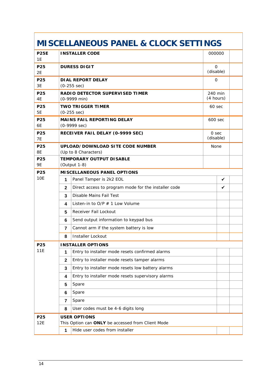# **MISCELLANEOUS PANEL & CLOCK SETTINGS**

| <b>P25E</b><br>1E |                                                                 | <b>INSTALLER CODE</b>                                     | 000000                   |   |  |
|-------------------|-----------------------------------------------------------------|-----------------------------------------------------------|--------------------------|---|--|
| P25<br>2E         |                                                                 | <b>DURESS DIGIT</b>                                       | $\mathbf 0$<br>(disable) |   |  |
| P25<br>3E         |                                                                 | DIAL REPORT DELAY<br>$(0-255 sec)$                        | $\mathbf{O}$             |   |  |
| P25<br>4E         |                                                                 | RADIO DETECTOR SUPERVISED TIMER<br>$(0-9999 \text{ min})$ | 240 min<br>(4 hours)     |   |  |
| P25<br>5E         | <b>TWO TRIGGER TIMER</b><br>60 sec<br>$(0-255 sec)$             |                                                           |                          |   |  |
| P25<br>6E         | MAINS FAIL REPORTING DELAY<br>600 sec<br>$(0-9999 \text{ sec})$ |                                                           |                          |   |  |
| P25<br><b>7E</b>  |                                                                 | RECEIVER FAIL DELAY (0-9999 SEC)                          | 0 sec<br>(disable)       |   |  |
| P25<br>8E         |                                                                 | UPLOAD/DOWNLOAD SITE CODE NUMBER<br>(Up to 8 Characters)  | None                     |   |  |
| P25<br><b>9E</b>  |                                                                 | TEMPORARY OUTPUT DI SABLE<br>(Output 1-8)                 |                          |   |  |
| P25               |                                                                 | MI SCELLANEOUS PANEL OPTIONS                              |                          |   |  |
| <b>10E</b>        | 1                                                               | Panel Tamper is 2k2 EOL                                   |                          | ✓ |  |
|                   | $\mathbf{2}$                                                    | Direct access to program mode for the installer code      |                          | ✓ |  |
|                   | 3                                                               | Disable Mains Fail Test                                   |                          |   |  |
|                   | 4                                                               | Listen-in to $O/P \# 1$ Low Volume                        |                          |   |  |
|                   | 5                                                               | Receiver Fail Lockout                                     |                          |   |  |
|                   | 6                                                               | Send output information to keypad bus                     |                          |   |  |
|                   | $\overline{7}$                                                  | Cannot arm if the system battery is low                   |                          |   |  |
|                   | 8                                                               | Installer Lockout                                         |                          |   |  |
| P <sub>25</sub>   |                                                                 | <b>INSTALLER OPTIONS</b>                                  |                          |   |  |
| 11E               |                                                                 | 1 Entry to installer mode resets confirmed alarms         |                          |   |  |
|                   | $\mathbf{2}$                                                    | Entry to installer mode resets tamper alarms              |                          |   |  |
|                   | 3                                                               | Entry to installer mode resets low battery alarms         |                          |   |  |
|                   | 4                                                               | Entry to installer mode resets supervisory alarms         |                          |   |  |
|                   | 5                                                               | Spare                                                     |                          |   |  |
|                   | 6                                                               | Spare                                                     |                          |   |  |
|                   | $\overline{7}$                                                  | Spare                                                     |                          |   |  |
|                   | 8                                                               | User codes must be 4-6 digits long                        |                          |   |  |
| P25               |                                                                 | <b>USER OPTIONS</b>                                       |                          |   |  |
| 12E               |                                                                 | This Option can ONLY be accessed from Client Mode         |                          |   |  |
|                   | 1                                                               | Hide user codes from installer                            |                          |   |  |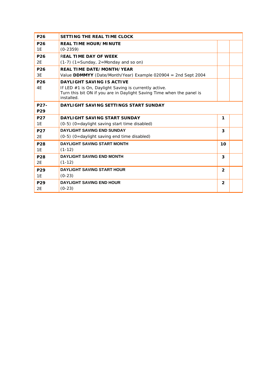| P <sub>26</sub> | SETTING THE REAL TIME CLOCK                                                         |                |  |
|-----------------|-------------------------------------------------------------------------------------|----------------|--|
| P <sub>26</sub> | <b>REAL TIME HOUR/MINUTE</b>                                                        |                |  |
| 1E              | $(0-2359)$                                                                          |                |  |
| P <sub>26</sub> | REAL TIME DAY OF WEEK                                                               |                |  |
| 2E              | $(1-7)$ $(1=$ Sunday, 2=Monday and so on)                                           |                |  |
| P <sub>26</sub> | <b>REAL TIME DATE/MONTH/YEAR</b>                                                    |                |  |
| 3E              | Value DDMMYY (Date/Month/Year) Example 020904 = 2nd Sept 2004                       |                |  |
| P <sub>26</sub> | DAYLIGHT SAVING IS ACTIVE                                                           |                |  |
| 4E              | If LED $#1$ is On, Daylight Saving is currently active.                             |                |  |
|                 | Turn this bit ON if you are in Daylight Saving Time when the panel is<br>installed. |                |  |
| P27-            | DAYLIGHT SAVING SETTINGS START SUNDAY                                               |                |  |
| P <sub>29</sub> |                                                                                     |                |  |
| P <sub>27</sub> | DAYLIGHT SAVING START SUNDAY                                                        | 1              |  |
| 1E              | (0-5) (0=daylight saving start time disabled)                                       |                |  |
| P <sub>27</sub> | <b>DAYLIGHT SAVING END SUNDAY</b>                                                   | 3              |  |
| 2E              | (0-5) (0=daylight saving end time disabled)                                         |                |  |
| P28             | <b>DAYLIGHT SAVING START MONTH</b>                                                  | 10             |  |
| 1E              | $(1-12)$                                                                            |                |  |
| P <sub>28</sub> | <b>DAYLIGHT SAVING END MONTH</b>                                                    | 3              |  |
| 2E              | $(1-12)$                                                                            |                |  |
| P <sub>29</sub> | <b>DAYLIGHT SAVING START HOUR</b>                                                   | $\overline{2}$ |  |
| 1E              | $(0-23)$                                                                            |                |  |
| P <sub>29</sub> | <b>DAYLIGHT SAVING END HOUR</b>                                                     | 2              |  |
| 2E              | $(0-23)$                                                                            |                |  |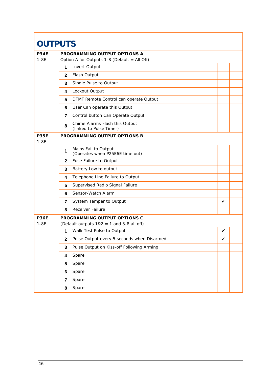| <b>OUTPUTS</b>        |                |                                                                              |   |  |
|-----------------------|----------------|------------------------------------------------------------------------------|---|--|
| <b>P34E</b><br>$1-8E$ |                | PROGRAMMING OUTPUT OPTIONS A<br>Option A for Outputs 1-8 (Default = All Off) |   |  |
|                       | 1              | Invert Output                                                                |   |  |
|                       | $\mathbf{2}$   | Flash Output                                                                 |   |  |
|                       | 3              | Single Pulse to Output                                                       |   |  |
|                       | 4              | Lockout Output                                                               |   |  |
|                       | 5              | DTMF Remote Control can operate Output                                       |   |  |
|                       | 6              | User Can operate this Output                                                 |   |  |
|                       | 7              | Control button Can Operate Output                                            |   |  |
|                       | 8              | Chime Alarms Flash this Output<br>(linked to Pulse Timer)                    |   |  |
| <b>P35E</b><br>$1-8E$ |                | PROGRAMMING OUTPUT OPTIONS B                                                 |   |  |
|                       | 1              | Mains Fail to Output<br>(Operates when P25E6E time out)                      |   |  |
|                       | $\mathbf{2}$   | Fuse Failure to Output                                                       |   |  |
|                       | 3              | Battery Low to output                                                        |   |  |
|                       | 4              | Telephone Line Failure to Output                                             |   |  |
|                       | 5              | Supervised Radio Signal Failure                                              |   |  |
|                       | 6              | Sensor-Watch Alarm                                                           |   |  |
|                       | $\overline{7}$ | System Tamper to Output                                                      | ✓ |  |
|                       | 8              | Receiver Failure                                                             |   |  |
| <b>P36E</b>           |                | PROGRAMMING OUTPUT OPTIONS C                                                 |   |  |
| $1 - 8E$              | 1              | (Default outputs $1&2 = 1$ and 3-8 all off)<br>Walk Test Pulse to Output     | ✓ |  |
|                       | $\mathbf{2}$   | Pulse Output every 5 seconds when Disarmed                                   | ✓ |  |
|                       | $\mathbf{3}$   | Pulse Output on Kiss-off Following Arming                                    |   |  |
|                       | 4              | Spare                                                                        |   |  |
|                       | 5              | Spare                                                                        |   |  |
|                       | 6              | Spare                                                                        |   |  |
|                       | $\overline{7}$ | Spare                                                                        |   |  |
|                       | 8              | Spare                                                                        |   |  |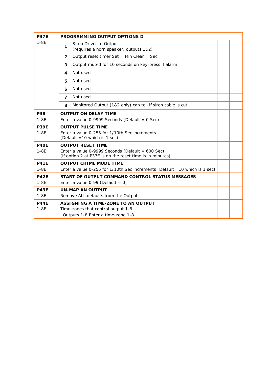| <b>P37E</b>           |                | PROGRAMMING OUTPUT OPTIONS D                                                                                                               |  |
|-----------------------|----------------|--------------------------------------------------------------------------------------------------------------------------------------------|--|
| $1-8E$                | 1              | Siren Driver to Output<br>(requires a horn speaker, outputs 1&2)                                                                           |  |
|                       | $\mathbf{2}$   | Output reset timer Set = Min Clear = Sec                                                                                                   |  |
|                       | 3              | Output muted for 10 seconds on key-press if alarm                                                                                          |  |
|                       | 4              | Not used                                                                                                                                   |  |
|                       | 5              | Not used                                                                                                                                   |  |
|                       | 6              | Not used                                                                                                                                   |  |
|                       | $\overline{7}$ | Not used                                                                                                                                   |  |
|                       | 8              | Monitored Output (1&2 only) can tell if siren cable is cut                                                                                 |  |
| P38<br>$1-8E$         |                | <b>OUTPUT ON DELAY TIME</b><br>Enter a value 0-9999 Seconds (Default = $0$ Sec)                                                            |  |
| <b>P39E</b><br>$1-8E$ |                | <b>OUTPUT PULSE TIME</b><br>Enter a value 0-255 for 1/10th Sec increments<br>(Default = 10 which is 1 sec)                                 |  |
| <b>P40E</b><br>$1-8E$ |                | <b>OUTPUT RESET TIME</b><br>Enter a value 0-9999 Seconds (Default = $600$ Sec)<br>(if option 2 at P37E is on the reset time is in minutes) |  |
| <b>P41E</b><br>$1-8E$ |                | <b>OUTPUT CHIME MODE TIME</b><br>Enter a value 0-255 for $1/10$ th Sec increments (Default = 10 which is 1 sec)                            |  |
| <b>P42E</b><br>$1-8E$ |                | START OF OUTPUT COMMAND CONTROL STATUS MESSAGES<br>Enter a value $0-99$ (Default = 0)                                                      |  |
| <b>P43E</b><br>$1-8E$ |                | <b>UN-MAP AN OUTPUT</b><br>Remove ALL defaults from the Output                                                                             |  |
| <b>P44E</b><br>$1-8E$ |                | ASSIGNING A TIME-ZONE TO AN OUTPUT<br>Time-zones that control output 1-8.<br>I Outputs 1-8 Enter a time-zone 1-8                           |  |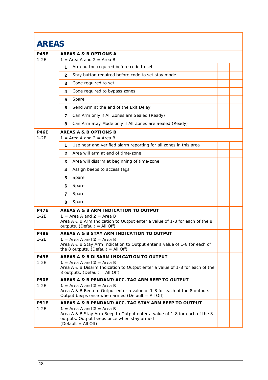| <b>AREAS</b>          |                |                                                                                                                                                                                                                                         |  |
|-----------------------|----------------|-----------------------------------------------------------------------------------------------------------------------------------------------------------------------------------------------------------------------------------------|--|
| <b>P45E</b><br>$1-2E$ |                | AREAS A & B OPTIONS A<br>$1 =$ Area A and $2 =$ Area B.                                                                                                                                                                                 |  |
|                       | 1              | Arm button required before code to set                                                                                                                                                                                                  |  |
|                       | $\mathbf 2$    | Stay button required before code to set stay mode                                                                                                                                                                                       |  |
|                       | 3              | Code required to set                                                                                                                                                                                                                    |  |
|                       | 4              | Code required to bypass zones                                                                                                                                                                                                           |  |
|                       | 5              | Spare                                                                                                                                                                                                                                   |  |
|                       | 6              | Send Arm at the end of the Exit Delay                                                                                                                                                                                                   |  |
|                       | $\overline{7}$ | Can Arm only if All Zones are Sealed (Ready)                                                                                                                                                                                            |  |
|                       | 8              | Can Arm Stay Mode only if All Zones are Sealed (Ready)                                                                                                                                                                                  |  |
| <b>P46E</b><br>$1-2E$ |                | AREAS A & B OPTIONS B<br>$1 = Area A$ and $2 = Area B$                                                                                                                                                                                  |  |
|                       | 1              | Use near and verified alarm reporting for all zones in this area                                                                                                                                                                        |  |
|                       | $\mathbf{2}$   | Area will arm at end of time-zone                                                                                                                                                                                                       |  |
|                       | 3              | Area will disarm at beginning of time-zone                                                                                                                                                                                              |  |
|                       | 4              | Assign beeps to access tags                                                                                                                                                                                                             |  |
|                       | 5              | Spare                                                                                                                                                                                                                                   |  |
|                       | 6              | Spare                                                                                                                                                                                                                                   |  |
|                       | 7              | Spare                                                                                                                                                                                                                                   |  |
|                       | 8              | Spare                                                                                                                                                                                                                                   |  |
| <b>P47E</b><br>$1-2E$ |                | AREAS A & B ARM INDICATION TO OUTPUT<br>$1 = Area A$ and $2 = Area B$<br>Area A & B Arm Indication to Output enter a value of 1-8 for each of the 8<br>outputs. (Default = All Off)                                                     |  |
| <b>P48E</b><br>$1-2E$ |                | AREAS A & B STAY ARM INDICATION TO OUTPUT<br>1 = Area A and $2$ = Area B<br>Area A & B Stay Arm Indication to Output enter a value of 1-8 for each of<br>the 8 outputs. (Default = All Off)                                             |  |
| <b>P49E</b><br>$1-2E$ |                | AREAS A & B DISARM INDICATION TO OUTPUT<br>1 = Area A and $2$ = Area B<br>Area A & B Disarm Indication to Output enter a value of 1-8 for each of the<br>8 outputs. (Default = All Off)                                                 |  |
| P50E<br>$1-2E$        |                | AREAS A & B PENDANT/ACC. TAG ARM BEEP TO OUTPUT<br>1 = Area A and $2$ = Area B<br>Area A & B Beep to Output enter a value of 1-8 for each of the 8 outputs.<br>Output beeps once when armed (Default = All Off)                         |  |
| <b>P51E</b><br>$1-2E$ |                | AREAS A & B PENDANT/ACC. TAG STAY ARM BEEP TO OUTPUT<br>$1 = Area A$ and $2 = Area B$<br>Area A & B Stay Arm Beep to Output enter a value of 1-8 for each of the 8<br>outputs. Output beeps once when stay armed<br>(Default = All Off) |  |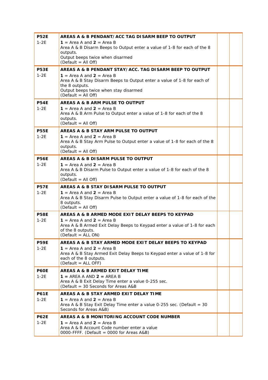| <b>P52E</b> | AREAS A & B PENDANT/ACC TAG DISARM BEEP TO OUTPUT                                                    |  |
|-------------|------------------------------------------------------------------------------------------------------|--|
| $1-2E$      | 1 = Area A and $2$ = Area B                                                                          |  |
|             | Area A & B Disarm Beeps to Output enter a value of 1-8 for each of the 8                             |  |
|             | outputs.                                                                                             |  |
|             | Output beeps twice when disarmed<br>(Default = All Off)                                              |  |
| <b>P53E</b> | AREAS A & B PENDANT STAY/ACC. TAG DISARM BEEP TO OUTPUT                                              |  |
| $1-2E$      | 1 = Area A and $2$ = Area B                                                                          |  |
|             | Area A & B Stay Disarm Beeps to Output enter a value of 1-8 for each of                              |  |
|             | the 8 outputs.                                                                                       |  |
|             | Output beeps twice when stay disarmed                                                                |  |
|             | (Default = All Off)                                                                                  |  |
| <b>P54E</b> | AREAS A & B ARM PULSE TO OUTPUT                                                                      |  |
| $1-2E$      | 1 = Area A and $2$ = Area B<br>Area A & B Arm Pulse to Output enter a value of 1-8 for each of the 8 |  |
|             | outputs.                                                                                             |  |
|             | (Default = All Off)                                                                                  |  |
| <b>P55E</b> | AREAS A & B STAY ARM PULSE TO OUTPUT                                                                 |  |
| $1-2E$      | $1 = Area A$ and $2 = Area B$                                                                        |  |
|             | Area A & B Stay Arm Pulse to Output enter a value of 1-8 for each of the 8                           |  |
|             | outputs.<br>(Default = All Off)                                                                      |  |
| <b>P56E</b> | AREAS A & B DI SARM PULSE TO OUTPUT                                                                  |  |
| $1-2E$      | 1 = Area A and $2$ = Area B                                                                          |  |
|             | Area A & B Disarm Pulse to Output enter a value of 1-8 for each of the 8                             |  |
|             | outputs.                                                                                             |  |
|             | (Default = All Off)                                                                                  |  |
| <b>P57E</b> | AREAS A & B STAY DISARM PULSE TO OUTPUT                                                              |  |
|             |                                                                                                      |  |
| $1-2E$      | 1 = Area A and $2$ = Area B                                                                          |  |
|             | Area A & B Stay Disarm Pulse to Output enter a value of 1-8 for each of the                          |  |
|             | 8 outputs.<br>(Default = All Off)                                                                    |  |
| <b>P58E</b> | AREAS A & B ARMED MODE EXIT DELAY BEEPS TO KEYPAD                                                    |  |
| $1-2E$      | 1 = Area A and $2$ = Area B                                                                          |  |
|             | Area A & B Armed Exit Delay Beeps to Keypad enter a value of 1-8 for each                            |  |
|             | of the 8 outputs.                                                                                    |  |
|             | (Default = ALL ON)                                                                                   |  |
| <b>P59E</b> | AREAS A & B STAY ARMED MODE EXIT DELAY BEEPS TO KEYPAD                                               |  |
| $1-2E$      | 1 = Area A and $2$ = Area B                                                                          |  |
|             | Area A & B Stay Armed Exit Delay Beeps to Keypad enter a value of 1-8 for<br>each of the 8 outputs.  |  |
|             | (Default = ALL OFF)                                                                                  |  |
| <b>P60E</b> | AREAS A & B ARMED EXIT DELAY TIME                                                                    |  |
| 1-2E        | $1 = AREA A AND 2 = AREA B$                                                                          |  |
|             | Area A & B Exit Delay Time enter a value 0-255 sec.<br>(Default = 30 Seconds for Areas A&B           |  |
| <b>P61E</b> | AREAS A & B STAY ARMED EXIT DELAY TIME                                                               |  |
| $1-2E$      | $1 =$ Area A and $2 =$ Area B                                                                        |  |
|             | Area A & B Stay Exit Delay Time enter a value 0-255 sec. (Default = 30                               |  |
|             | Seconds for Areas A&B)                                                                               |  |
| <b>P62E</b> | AREAS A & B MONITORING ACCOUNT CODE NUMBER                                                           |  |
| $1-2E$      | $1 = Area A$ and $2 = Area B$                                                                        |  |
|             | Area A & B Account Code number enter a value<br>0000-FFFF. (Default = 0000 for Areas A&B)            |  |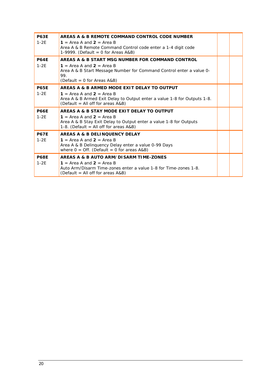| <b>P63E</b><br>$1-2F$ | AREAS A & B REMOTE COMMAND CONTROL CODE NUMBER<br>1 = Area A and $2$ = Area B<br>Area A & B Remote Command Control code enter a 1-4 digit code<br>1-9999. (Default = 0 for Areas $A&B$ )        |  |
|-----------------------|-------------------------------------------------------------------------------------------------------------------------------------------------------------------------------------------------|--|
| <b>P64F</b><br>$1-2F$ | AREAS A & B START MSG NUMBER FOR COMMAND CONTROL<br>1 = Area A and $2$ = Area B<br>Area A & B Start Message Number for Command Control enter a value 0-<br>99.<br>$(Default = 0 for Areas A&B)$ |  |
| <b>P65F</b><br>$1-2F$ | AREAS A & B ARMED MODE EXIT DELAY TO OUTPUT<br>1 = Area A and $2$ = Area B<br>Area A & B Armed Exit Delay to Output enter a value 1-8 for Outputs 1-8.<br>(Default = All off for areas A&B)     |  |
| <b>P66E</b><br>$1-2E$ | AREAS A & B STAY MODE EXIT DELAY TO OUTPUT<br>1 = Area A and $2$ = Area B<br>Area A & B Stay Exit Delay to Output enter a value 1-8 for Outputs<br>1-8. (Default = All off for areas $A&B$ )    |  |
| <b>P67F</b><br>$1-2E$ | AREAS A & B DELINQUENCY DELAY<br>1 = Area A and $2$ = Area B<br>Area A & B Delinquency Delay enter a value 0-99 Days<br>where $0 = \text{Off.}$ (Default = 0 for areas A&B)                     |  |
| <b>P68E</b><br>$1-2E$ | AREAS A & B AUTO ARM/DISARM TIME-ZONES<br>1 = Area A and $2$ = Area B<br>Auto Arm/Disarm Time-zones enter a value 1-8 for Time-zones 1-8.<br>(Default = All off for areas A&B)                  |  |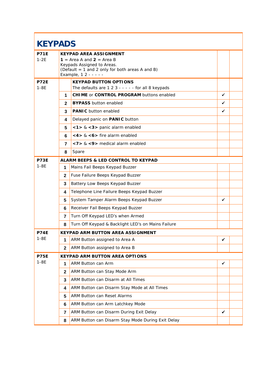|                       | <b>KEYPADS</b> |                                                                                                                                                                         |   |  |
|-----------------------|----------------|-------------------------------------------------------------------------------------------------------------------------------------------------------------------------|---|--|
| <b>P71F</b><br>$1-2E$ |                | <b>KEYPAD AREA ASSIGNMENT</b><br>1 = Area A and $2$ = Area B<br>Keypads Assigned to Areas.<br>(Default = 1 and 2 only for both areas A and B)<br>Example, 1 2 - - - - - |   |  |
| <b>P72E</b><br>$1-8E$ |                | <b>KEYPAD BUTTON OPTIONS</b><br>The defaults are $1 \ 2 \ 3 - - - -$ for all 8 keypads                                                                                  |   |  |
|                       | 1              | <b>CHIME or CONTROL PROGRAM buttons enabled</b>                                                                                                                         | ✓ |  |
|                       | $\mathbf{2}$   | <b>BYPASS</b> button enabled                                                                                                                                            | ✓ |  |
|                       | 3              | <b>PANIC</b> button enabled                                                                                                                                             | ✓ |  |
|                       | 4              | Delayed panic on PANIC button                                                                                                                                           |   |  |
|                       | 5              | <1> & <3> panic alarm enabled                                                                                                                                           |   |  |
|                       | 6              | $<$ 4> & $<$ 6> fire alarm enabled                                                                                                                                      |   |  |
|                       | 7              | $<$ 7> & $<$ 9> medical alarm enabled                                                                                                                                   |   |  |
|                       | 8              | Spare                                                                                                                                                                   |   |  |
| <b>P73F</b>           |                | ALARM BEEPS & LED CONTROL TO KEYPAD                                                                                                                                     |   |  |
| $1-8E$                | 1              | Mains Fail Beeps Keypad Buzzer                                                                                                                                          |   |  |
|                       | $\mathbf{2}$   | Fuse Failure Beeps Keypad Buzzer                                                                                                                                        |   |  |
|                       | 3              | Battery Low Beeps Keypad Buzzer                                                                                                                                         |   |  |
|                       | 4              | Telephone Line Failure Beeps Keypad Buzzer                                                                                                                              |   |  |
|                       | 5              | System Tamper Alarm Beeps Keypad Buzzer                                                                                                                                 | ✓ |  |
|                       | 6              | Receiver Fail Beeps Keypad Buzzer                                                                                                                                       |   |  |
|                       | 7              | Turn Off Keypad LED's when Armed                                                                                                                                        |   |  |
|                       | 8              | Turn Off Keypad & Backlight LED's on Mains Failure                                                                                                                      |   |  |
| <b>P74E</b>           |                | <b>KEYPAD ARM BUTTON AREA ASSIGNMENT</b>                                                                                                                                |   |  |
| $1-8E$                | 1              | ARM Button assigned to Area A                                                                                                                                           | ✓ |  |
|                       | 2              | ARM Button assigned to Area B                                                                                                                                           |   |  |
| <b>P75E</b>           |                | KEYPAD ARM BUTTON AREA OPTIONS                                                                                                                                          |   |  |
| $1-8E$                | 1              | ARM Button can Arm                                                                                                                                                      | ✓ |  |
|                       | 2              | ARM Button can Stay Mode Arm                                                                                                                                            |   |  |
|                       | 3              | ARM Button can Disarm at All Times                                                                                                                                      |   |  |
|                       | 4              | ARM Button can Disarm Stay Mode at All Times                                                                                                                            |   |  |
|                       | 5              | <b>ARM Button can Reset Alarms</b>                                                                                                                                      |   |  |
|                       | 6              | ARM Button can Arm Latchkey Mode                                                                                                                                        |   |  |
|                       | 7              | ARM Button can Disarm During Exit Delay                                                                                                                                 | ✓ |  |
|                       | 8              | ARM Button can Disarm Stay Mode During Exit Delay                                                                                                                       |   |  |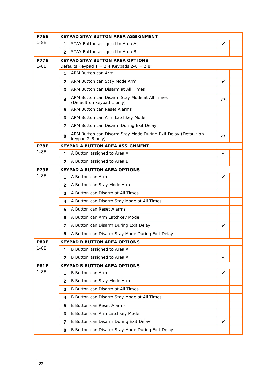| <b>P76E</b> | <b>KEYPAD STAY BUTTON AREA ASSIGNMENT</b> |                                                                                   |              |  |  |
|-------------|-------------------------------------------|-----------------------------------------------------------------------------------|--------------|--|--|
| $1-8E$      | 1                                         | STAY Button assigned to Area A                                                    | ✓            |  |  |
|             | $\mathbf{2}$                              | STAY Button assigned to Area B                                                    |              |  |  |
| <b>P77E</b> |                                           | <b>KEYPAD STAY BUTTON AREA OPTIONS</b>                                            |              |  |  |
| $1-8E$      |                                           | Defaults Keypad $1 = 2,4$ Keypads $2-8 = 2,8$                                     |              |  |  |
|             | 1                                         | ARM Button can Arm                                                                |              |  |  |
|             | $\mathbf{2}$                              | ARM Button can Stay Mode Arm                                                      | $\checkmark$ |  |  |
|             | 3                                         | ARM Button can Disarm at All Times                                                |              |  |  |
|             | 4                                         | ARM Button can Disarm Stay Mode at All Times<br>(Default on keypad 1 only)        | $\checkmark$ |  |  |
|             | 5                                         | <b>ARM Button can Reset Alarms</b>                                                |              |  |  |
|             | 6                                         | ARM Button can Arm Latchkey Mode                                                  |              |  |  |
|             | 7                                         | ARM Button can Disarm During Exit Delay                                           |              |  |  |
|             | 8                                         | ARM Button can Disarm Stay Mode During Exit Delay (Default on<br>keypad 2-8 only) | ✓∗           |  |  |
| P78E        |                                           | <b>KEYPAD A BUTTON AREA ASSIGNMENT</b>                                            |              |  |  |
| $1-8E$      | 1                                         | A Button assigned to Area A                                                       | ✓            |  |  |
|             | $\mathbf{2}$                              | A Button assigned to Area B                                                       |              |  |  |
| <b>P79E</b> |                                           | <b>KEYPAD A BUTTON AREA OPTIONS</b>                                               |              |  |  |
| $1-8E$      | 1                                         | A Button can Arm                                                                  | ✓            |  |  |
|             | $\mathbf{2}$                              | A Button can Stay Mode Arm                                                        |              |  |  |
|             | 3                                         | A Button can Disarm at All Times                                                  |              |  |  |
|             | 4                                         | A Button can Disarm Stay Mode at All Times                                        |              |  |  |
|             | 5                                         | A Button can Reset Alarms                                                         |              |  |  |
|             | 6                                         | A Button can Arm Latchkey Mode                                                    |              |  |  |
|             | 7                                         | A Button can Disarm During Exit Delay                                             | $\checkmark$ |  |  |
|             | 8                                         | A Button can Disarm Stay Mode During Exit Delay                                   |              |  |  |
| <b>P80E</b> |                                           | <b>KEYPAD B BUTTON AREA OPTIONS</b>                                               |              |  |  |
| $1-8E$      | 1                                         | B Button assigned to Area A                                                       |              |  |  |
|             | $\mathbf{2}$                              | B Button assigned to Area A                                                       | $\checkmark$ |  |  |
| <b>P81E</b> |                                           | <b>KEYPAD B BUTTON AREA OPTIONS</b>                                               |              |  |  |
| $1-8E$      | 1                                         | <b>B</b> Button can Arm                                                           | ✓            |  |  |
|             | $\mathbf{2}$                              | B Button can Stay Mode Arm                                                        |              |  |  |
|             | 3                                         | B Button can Disarm at All Times                                                  |              |  |  |
|             | 4                                         | B Button can Disarm Stay Mode at All Times                                        |              |  |  |
|             | 5                                         | <b>B Button can Reset Alarms</b>                                                  |              |  |  |
|             | 6                                         | B Button can Arm Latchkey Mode                                                    |              |  |  |
|             | 7                                         | B Button can Disarm During Exit Delay                                             | ✓            |  |  |
|             | 8                                         | B Button can Disarm Stay Mode During Exit Delay                                   |              |  |  |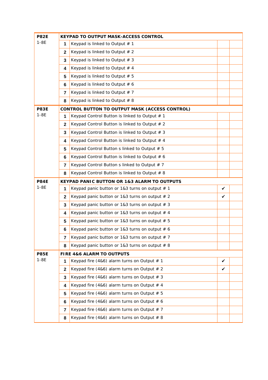| <b>P82E</b> |              | KEYPAD TO OUTPUT MASK-ACCESS CONTROL             |   |  |
|-------------|--------------|--------------------------------------------------|---|--|
| $1-8E$      | $\mathbf 1$  | Keypad is linked to Output # 1                   |   |  |
|             | $\mathbf{2}$ | Keypad is linked to Output $# 2$                 |   |  |
|             | 3            | Keypad is linked to Output $# 3$                 |   |  |
|             | 4            | Keypad is linked to Output $# 4$                 |   |  |
|             | 5            | Keypad is linked to Output $# 5$                 |   |  |
|             | 6            | Keypad is linked to Output $# 6$                 |   |  |
|             | 7            | Keypad is linked to Output $# 7$                 |   |  |
|             | 8            | Keypad is linked to Output $# 8$                 |   |  |
| <b>P83E</b> |              | CONTROL BUTTON TO OUTPUT MASK (ACCESS CONTROL)   |   |  |
| $1-8E$      | 1            | Keypad Control Button is linked to Output # 1    |   |  |
|             | $\mathbf{2}$ | Keypad Control Button is linked to Output # 2    |   |  |
|             | 3            | Keypad Control Button is linked to Output $# 3$  |   |  |
|             | 4            | Keypad Control Button is linked to Output $# 4$  |   |  |
|             | 5            | Keypad Control Button s linked to Output # 5     |   |  |
|             | 6            | Keypad Control Button is linked to Output $# 6$  |   |  |
|             | 7            | Keypad Control Button s linked to Output $# 7$   |   |  |
|             | 8            | Keypad Control Button is linked to Output $# 8$  |   |  |
| <b>P84E</b> |              | KEYPAD PANIC BUTTON OR 1&3 ALARM TO OUTPUTS      |   |  |
| $1-8E$      | 1            | Keypad panic button or 1&3 turns on output # 1   | ✓ |  |
|             | $\mathbf{2}$ | Keypad panic button or 1&3 turns on output $# 2$ | ✓ |  |
|             | 3            | Keypad panic button or 1&3 turns on output $# 3$ |   |  |
|             | 4            | Keypad panic button or 1&3 turns on output $# 4$ |   |  |
|             | 5            | Keypad panic button or 1&3 turns on output $# 5$ |   |  |
|             | 6            | Keypad panic button or 1&3 turns on output $# 6$ |   |  |
|             | 7            | Keypad panic button or 1&3 turns on output $# 7$ |   |  |
|             | 8            | Keypad panic button or 1&3 turns on output $# 8$ |   |  |
| <b>P85E</b> |              | FIRE 4&6 ALARM TO OUTPUTS                        |   |  |
| $1-8E$      | 1            | Keypad fire (4&6) alarm turns on Output $# 1$    | ✓ |  |
|             | $\mathbf{2}$ | Keypad fire (4&6) alarm turns on Output $# 2$    | ✓ |  |
|             | 3            | Keypad fire (4&6) alarm turns on Output $# 3$    |   |  |
|             | 4            | Keypad fire (4&6) alarm turns on Output $#$ 4    |   |  |
|             | 5            | Keypad fire (4&6) alarm turns on Output $# 5$    |   |  |
|             | 6            | Keypad fire (4&6) alarm turns on Output $# 6$    |   |  |
|             | 7            | Keypad fire (4&6) alarm turns on Output $# 7$    |   |  |
|             | 8            | Keypad fire (4&6) alarm turns on Output $# 8$    |   |  |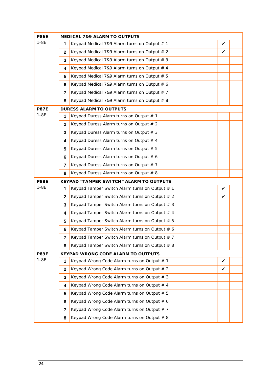| <b>P86E</b> | MEDICAL 7&9 ALARM TO OUTPUTS |                                                  |   |  |  |  |
|-------------|------------------------------|--------------------------------------------------|---|--|--|--|
| $1-8E$      | 1                            | Keypad Medical 7&9 Alarm turns on Output # 1     | ✓ |  |  |  |
|             | $\mathbf{2}$                 | Keypad Medical 7&9 Alarm turns on Output # 2     | ✓ |  |  |  |
|             | 3                            | Keypad Medical 7&9 Alarm turns on Output # 3     |   |  |  |  |
|             | 4                            | Keypad Medical 7&9 Alarm turns on Output # 4     |   |  |  |  |
|             | 5                            | Keypad Medical 7&9 Alarm turns on Output # 5     |   |  |  |  |
|             | 6                            | Keypad Medical 7&9 Alarm turns on Output # 6     |   |  |  |  |
|             | $\overline{7}$               | Keypad Medical 7&9 Alarm turns on Output $# 7$   |   |  |  |  |
|             | 8                            | Keypad Medical 7&9 Alarm turns on Output # 8     |   |  |  |  |
| <b>P87E</b> |                              | <b>DURESS ALARM TO OUTPUTS</b>                   |   |  |  |  |
| $1 - 8E$    | 1                            | Keypad Duress Alarm turns on Output # 1          |   |  |  |  |
|             | $\mathbf{2}$                 | Keypad Duress Alarm turns on Output # 2          |   |  |  |  |
|             | 3                            | Keypad Duress Alarm turns on Output # 3          |   |  |  |  |
|             | 4                            | Keypad Duress Alarm turns on Output # 4          |   |  |  |  |
|             | 5                            | Keypad Duress Alarm turns on Output # 5          |   |  |  |  |
|             | 6                            | Keypad Duress Alarm turns on Output # 6          |   |  |  |  |
|             | 7                            | Keypad Duress Alarm turns on Output # 7          |   |  |  |  |
|             | 8                            | Keypad Duress Alarm turns on Output # 8          |   |  |  |  |
| <b>P88E</b> |                              | KEYPAD "TAMPER SWITCH" ALARM TO OUTPUTS          |   |  |  |  |
| $1-8E$      | 1                            | Keypad Tamper Switch Alarm turns on Output # 1   | ✓ |  |  |  |
|             | $\mathbf{2}$                 | Keypad Tamper Switch Alarm turns on Output # 2   | ✓ |  |  |  |
|             | 3                            | Keypad Tamper Switch Alarm turns on Output $# 3$ |   |  |  |  |
|             | 4                            | Keypad Tamper Switch Alarm turns on Output $# 4$ |   |  |  |  |
|             | 5                            | Keypad Tamper Switch Alarm turns on Output # 5   |   |  |  |  |
|             | 6                            | Keypad Tamper Switch Alarm turns on Output # 6   |   |  |  |  |
|             | $\overline{7}$               | Keypad Tamper Switch Alarm turns on Output $# 7$ |   |  |  |  |
|             | 8                            | Keypad Tamper Switch Alarm turns on Output # 8   |   |  |  |  |
| <b>P89E</b> |                              | KEYPAD WRONG CODE ALARM TO OUTPUTS               |   |  |  |  |
| $1-8E$      | 1                            | Keypad Wrong Code Alarm turns on Output # 1      | ✓ |  |  |  |
|             | $\mathbf{2}$                 | Keypad Wrong Code Alarm turns on Output # 2      | ✓ |  |  |  |
|             | 3                            | Keypad Wrong Code Alarm turns on Output # 3      |   |  |  |  |
|             | 4                            | Keypad Wrong Code Alarm turns on Output # 4      |   |  |  |  |
|             | 5                            | Keypad Wrong Code Alarm turns on Output # 5      |   |  |  |  |
|             | 6                            | Keypad Wrong Code Alarm turns on Output # 6      |   |  |  |  |
|             | $\overline{7}$               | Keypad Wrong Code Alarm turns on Output # 7      |   |  |  |  |
|             | 8                            | Keypad Wrong Code Alarm turns on Output # 8      |   |  |  |  |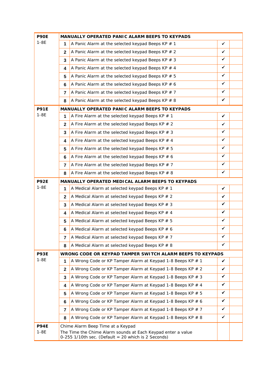| <b>P90E</b>           | MANUALLY OPERATED PANIC ALARM BEEPS TO KEYPADS |                                                                                                                                                          |              |  |  |
|-----------------------|------------------------------------------------|----------------------------------------------------------------------------------------------------------------------------------------------------------|--------------|--|--|
| $1-8E$                | 1                                              | A Panic Alarm at the selected keypad Beeps KP $# 1$                                                                                                      | ✓            |  |  |
|                       | $\mathbf{2}$                                   | A Panic Alarm at the selected keypad Beeps KP $# 2$                                                                                                      | ✓            |  |  |
|                       | 3                                              | A Panic Alarm at the selected keypad Beeps KP $# 3$                                                                                                      | ✓            |  |  |
|                       | 4                                              | A Panic Alarm at the selected keypad Beeps KP $#$ 4                                                                                                      | $\checkmark$ |  |  |
|                       | 5                                              | A Panic Alarm at the selected keypad Beeps KP $# 5$                                                                                                      | $\checkmark$ |  |  |
|                       | 6                                              | A Panic Alarm at the selected keypad Beeps KP $# 6$                                                                                                      | $\checkmark$ |  |  |
|                       | 7                                              | A Panic Alarm at the selected keypad Beeps KP $# 7$                                                                                                      | $\checkmark$ |  |  |
|                       | 8                                              | A Panic Alarm at the selected keypad Beeps KP $# 8$                                                                                                      | $\checkmark$ |  |  |
| <b>P91E</b>           |                                                | MANUALLY OPERATED PANIC ALARM BEEPS TO KEYPADS                                                                                                           |              |  |  |
| $1-8E$                | 1                                              | A Fire Alarm at the selected keypad Beeps KP $# 1$                                                                                                       | $\checkmark$ |  |  |
|                       | $\mathbf{2}$                                   | A Fire Alarm at the selected keypad Beeps KP $# 2$                                                                                                       | ✓            |  |  |
|                       | 3                                              | A Fire Alarm at the selected keypad Beeps KP $# 3$                                                                                                       | ✓            |  |  |
|                       | 4                                              | A Fire Alarm at the selected keypad Beeps KP $#$ 4                                                                                                       | ✓            |  |  |
|                       | 5                                              | A Fire Alarm at the selected keypad Beeps KP $# 5$                                                                                                       | ✓            |  |  |
|                       | 6                                              | A Fire Alarm at the selected keypad Beeps KP $# 6$                                                                                                       | ✓            |  |  |
|                       | 7                                              | A Fire Alarm at the selected keypad Beeps KP $# 7$                                                                                                       | ✓            |  |  |
|                       | 8                                              | A Fire Alarm at the selected keypad Beeps KP $# 8$                                                                                                       | ✓            |  |  |
| <b>P92E</b>           |                                                | MANUALLY OPERATED MEDICAL ALARM BEEPS TO KEYPADS                                                                                                         |              |  |  |
| $1-8E$                | 1                                              | A Medical Alarm at selected keypad Beeps KP # 1                                                                                                          | $\checkmark$ |  |  |
|                       | $\mathbf{2}$                                   | A Medical Alarm at selected keypad Beeps KP # 2                                                                                                          | ✓            |  |  |
|                       | 3                                              | A Medical Alarm at selected keypad Beeps KP # 3                                                                                                          | ✓            |  |  |
|                       | 4                                              | A Medical Alarm at selected keypad Beeps KP # 4                                                                                                          | ✓            |  |  |
|                       | 5                                              | A Medical Alarm at selected keypad Beeps KP # 5                                                                                                          | ✓            |  |  |
|                       | 6                                              | A Medical Alarm at selected keypad Beeps KP # 6                                                                                                          | ✓            |  |  |
|                       | 7                                              | A Medical Alarm at selected keypad Beeps KP # 7                                                                                                          | $\checkmark$ |  |  |
|                       | 8                                              | A Medical Alarm at selected keypad Beeps KP $# 8$                                                                                                        | ✓            |  |  |
| <b>P93E</b>           |                                                | WRONG CODE OR KEYPAD TAMPER SWITCH ALARM BEEPS TO KEYPADS                                                                                                |              |  |  |
| $1-8E$                | 1                                              | A Wrong Code or KP Tamper Alarm at Keypad 1-8 Beeps KP # 1                                                                                               | ✓            |  |  |
|                       | 2                                              | A Wrong Code or KP Tamper Alarm at Keypad 1-8 Beeps KP # 2                                                                                               | ✓            |  |  |
|                       | 3                                              | A Wrong Code or KP Tamper Alarm at Keypad 1-8 Beeps KP # 3                                                                                               | ✓            |  |  |
|                       | 4                                              | A Wrong Code or KP Tamper Alarm at Keypad 1-8 Beeps KP # 4                                                                                               | ✓            |  |  |
|                       | 5                                              | A Wrong Code or KP Tamper Alarm at Keypad 1-8 Beeps KP # 5                                                                                               | ✓            |  |  |
|                       | 6                                              | A Wrong Code or KP Tamper Alarm at Keypad 1-8 Beeps KP # 6                                                                                               | ✓            |  |  |
|                       | 7                                              | A Wrong Code or KP Tamper Alarm at Keypad 1-8 Beeps KP # 7                                                                                               | ✓            |  |  |
|                       | 8                                              | A Wrong Code or KP Tamper Alarm at Keypad 1-8 Beeps KP # 8                                                                                               | ✓            |  |  |
| <b>P94E</b><br>$1-8E$ |                                                | Chime Alarm Beep Time at a Keypad<br>The Time the Chime Alarm sounds at Each Keypad enter a value<br>0-255 1/10th sec. (Default = 20 which is 2 Seconds) |              |  |  |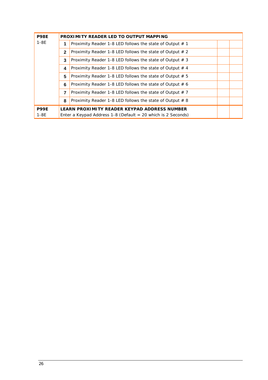| <b>P98E</b> |              | PROXIMITY READER LED TO OUTPUT MAPPING                         |
|-------------|--------------|----------------------------------------------------------------|
| $1-8E$      | 1            | Proximity Reader 1-8 LED follows the state of Output $# 1$     |
|             | $\mathbf{2}$ | Proximity Reader 1-8 LED follows the state of Output $# 2$     |
|             | 3            | Proximity Reader 1-8 LED follows the state of Output $# 3$     |
|             | 4            | Proximity Reader 1-8 LED follows the state of Output $# 4$     |
|             | 5            | Proximity Reader 1-8 LED follows the state of Output $# 5$     |
|             | 6            | Proximity Reader 1-8 LED follows the state of Output $# 6$     |
|             | 7            | Proximity Reader 1-8 LED follows the state of Output $# 7$     |
|             | 8            | Proximity Reader 1-8 LED follows the state of Output $#8$      |
| <b>P99E</b> |              | LEARN PROXIMITY READER KEYPAD ADDRESS NUMBER                   |
| $1-8E$      |              | Enter a Keypad Address 1-8 (Default $=$ 20 which is 2 Seconds) |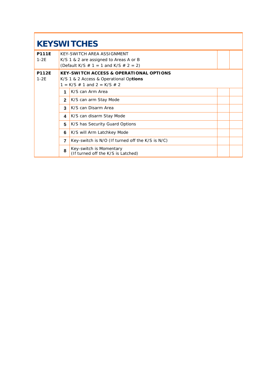# **KEYSWITCHES**

| <b>P111E</b><br>$1-2E$ |              | KEY-SWITCH AREA ASSIGNMENT<br>K/S 1 & 2 are assigned to Areas A or B<br>(Default K/S $\#$ 1 = 1 and K/S $\#$ 2 = 2)               |  |
|------------------------|--------------|-----------------------------------------------------------------------------------------------------------------------------------|--|
| <b>P112E</b><br>$1-2E$ |              | <b>KEY-SWITCH ACCESS &amp; OPERATIONAL OPTIONS</b><br>K/S 1 & 2 Access & Operational Options<br>$1 = K/S \# 1$ and $2 = K/S \# 2$ |  |
|                        | 1            | K/S can Arm Area                                                                                                                  |  |
|                        | $\mathbf{2}$ | K/S can arm Stay Mode                                                                                                             |  |
|                        | 3            | K/S can Disarm Area                                                                                                               |  |
|                        | 4            | K/S can disarm Stay Mode                                                                                                          |  |
|                        | 5            | K/S has Security Guard Options                                                                                                    |  |
|                        | 6            | K/S will Arm Latchkey Mode                                                                                                        |  |
|                        | 7            | Key-switch is N/O (If turned off the K/S is N/C)                                                                                  |  |
|                        | 8            | Key-switch is Momentary<br>(If turned off the K/S is Latched)                                                                     |  |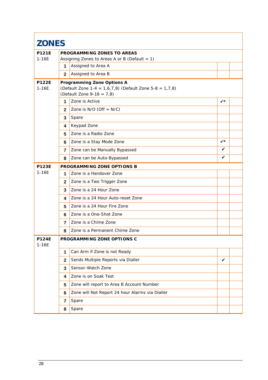| <b>ZONES</b>              |                |                                                                                                                    |              |  |
|---------------------------|----------------|--------------------------------------------------------------------------------------------------------------------|--------------|--|
| <b>P121E</b><br>$1 - 16E$ |                | PROGRAMMING ZONES TO AREAS<br>Assigning Zones to Areas A or B (Default = $1$ )                                     |              |  |
|                           | 1              | Assigned to Area A                                                                                                 |              |  |
|                           | $\mathbf{2}$   | Assigned to Area B                                                                                                 |              |  |
| <b>P122E</b><br>$1-16E$   |                | Programming Zone Options A<br>(Default Zone 1-4 = 1,6,7,8) (Default Zone 5-8 = 1,7,8)<br>(Default Zone 9-16 = 7,8) |              |  |
|                           | 1.             | Zone is Active                                                                                                     | ✓∗           |  |
|                           | $\mathbf{2}$   | Zone is $N/O$ (Off = $N/C$ )                                                                                       |              |  |
|                           | 3              | Spare                                                                                                              |              |  |
|                           | 4              | Keypad Zone                                                                                                        |              |  |
|                           | 5              | Zone is a Radio Zone                                                                                               |              |  |
|                           | 6              | Zone is a Stay Mode Zone                                                                                           | $\checkmark$ |  |
|                           | $\overline{7}$ | Zone can be Manually Bypassed                                                                                      | ✓            |  |
|                           | 8              | Zone can be Auto-Bypassed                                                                                          | ✓            |  |
| <b>P123E</b>              |                | PROGRAMMING ZONE OPTIONS B                                                                                         |              |  |
| $1 - 16E$                 | 1              | Zone is a Handover Zone                                                                                            |              |  |
|                           | $\mathbf{2}$   | Zone is a Two Trigger Zone                                                                                         |              |  |
|                           | 3              | Zone is a 24 Hour Zone                                                                                             |              |  |
|                           | 4              | Zone is a 24 Hour Auto-reset Zone                                                                                  |              |  |
|                           | 5              | Zone is a 24 Hour Fire Zone                                                                                        |              |  |
|                           | 6              | Zone is a One-Shot Zone                                                                                            |              |  |
|                           | $\overline{7}$ | Zone is a Chime Zone                                                                                               |              |  |
|                           | 8              | Zone is a Permanent Chime Zone                                                                                     |              |  |
| <b>P124E</b><br>$1 - 16E$ |                | PROGRAMMING ZONE OPTIONS C                                                                                         |              |  |
|                           | 1              | Can Arm if Zone is not Ready                                                                                       |              |  |
|                           | $\mathbf{2}$   | Sends Multiple Reports via Dialler                                                                                 | ✓            |  |
|                           | 3              | Sensor-Watch Zone                                                                                                  |              |  |
|                           | 4              | Zone is on Soak Test                                                                                               |              |  |
|                           | 5              | Zone will report to Area B Account Number                                                                          |              |  |
|                           | 6              | Zone will Not Report 24 hour Alarms via Dialler                                                                    |              |  |
|                           | 7              | Spare                                                                                                              |              |  |
|                           | 8              | Spare                                                                                                              |              |  |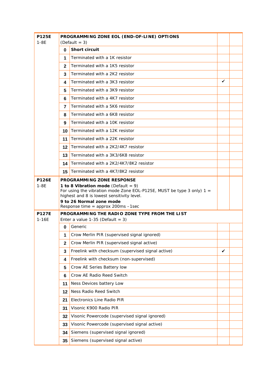| <b>P125E</b>              | PROGRAMMING ZONE EOL (END-OF-LINE) OPTIONS |                                                                                                                                                                 |   |  |  |
|---------------------------|--------------------------------------------|-----------------------------------------------------------------------------------------------------------------------------------------------------------------|---|--|--|
| $1-8F$                    |                                            | $(Default = 3)$                                                                                                                                                 |   |  |  |
|                           | 0                                          | Short circuit                                                                                                                                                   |   |  |  |
|                           | 1                                          | Terminated with a 1K resistor                                                                                                                                   |   |  |  |
|                           | $\mathbf{2}$                               | Terminated with a 1K5 resistor                                                                                                                                  |   |  |  |
|                           | 3                                          | Terminated with a 2K2 resistor                                                                                                                                  |   |  |  |
|                           | 4                                          | Terminated with a 3K3 resistor                                                                                                                                  | ✓ |  |  |
|                           | 5                                          | Terminated with a 3K9 resistor                                                                                                                                  |   |  |  |
|                           | 6                                          | Terminated with a 4K7 resistor                                                                                                                                  |   |  |  |
|                           | 7                                          | Terminated with a 5K6 resistor                                                                                                                                  |   |  |  |
|                           | 8                                          | Terminated with a 6K8 resistor                                                                                                                                  |   |  |  |
|                           | 9                                          | Terminated with a 10K resistor                                                                                                                                  |   |  |  |
|                           | 10                                         | Terminated with a 12K resistor                                                                                                                                  |   |  |  |
|                           | 11                                         | Terminated with a 22K resistor                                                                                                                                  |   |  |  |
|                           | 12                                         | Terminated with a 2K2/4K7 resistor                                                                                                                              |   |  |  |
|                           | 13                                         | Terminated with a 3K3/6K8 resistor                                                                                                                              |   |  |  |
|                           |                                            | 14 Terminated with a 2K2/4K7/8K2 resistor                                                                                                                       |   |  |  |
|                           | 15                                         | Terminated with a 4K7/8K2 resistor                                                                                                                              |   |  |  |
| <b>P126E</b>              |                                            | PROGRAMMING ZONE RESPONSE                                                                                                                                       |   |  |  |
| $1 - 8E$                  |                                            | 1 to 8 Vibration mode (Default = $9$ )<br>For using the vibration mode Zone EOL-P125E, MUST be type 3 only) $1 =$<br>highest and 8 is lowest sensitivity level. |   |  |  |
|                           |                                            | 9 to 26 Normal zone mode<br>Response time = approx 200ms $-1$ sec                                                                                               |   |  |  |
| <b>P127E</b><br>$1 - 16E$ |                                            | PROGRAMMING THE RADIO ZONE TYPE FROM THE LIST<br>Enter a value $1-35$ (Default = 3)                                                                             |   |  |  |
|                           | 0                                          | Generic                                                                                                                                                         |   |  |  |
|                           | 1                                          | Crow Merlin PIR (supervised signal ignored)                                                                                                                     |   |  |  |
|                           | $\mathbf{2}$                               | Crow Merlin PIR (supervised signal active)                                                                                                                      |   |  |  |
|                           | 3                                          | Freelink with checksum (supervised signal active)                                                                                                               | ✓ |  |  |
|                           | 4                                          | Freelink with checksum (non-supervised)                                                                                                                         |   |  |  |
|                           | 5                                          | Crow AE Series Battery low                                                                                                                                      |   |  |  |
|                           | 6                                          | Crow AE Radio Reed Switch                                                                                                                                       |   |  |  |
|                           | 11                                         | Ness Devices battery Low                                                                                                                                        |   |  |  |
|                           | 12                                         | Ness Radio Reed Switch                                                                                                                                          |   |  |  |
|                           | 21                                         | Electronics Line Radio PIR                                                                                                                                      |   |  |  |
|                           | 31                                         | Visonic K900 Radio PIR                                                                                                                                          |   |  |  |
|                           | 32                                         | Visonic Powercode (supervised signal ignored)                                                                                                                   |   |  |  |
|                           | 33                                         | Visonic Powercode (supervised signal active)                                                                                                                    |   |  |  |
|                           | 34                                         | Siemens (supervised signal ignored)                                                                                                                             |   |  |  |
|                           | 35                                         | Siemens (supervised signal active)                                                                                                                              |   |  |  |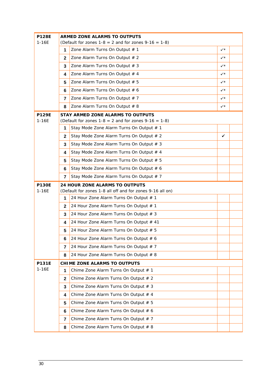| <b>P128E</b><br>$1 - 16E$ | ARMED ZONE ALARMS TO OUTPUTS |                                                                                             |              |  |
|---------------------------|------------------------------|---------------------------------------------------------------------------------------------|--------------|--|
|                           | 1                            | (Default for zones $1-8 = 2$ and for zones $9-16 = 1-8$ )<br>Zone Alarm Turns On Output # 1 | $\checkmark$ |  |
|                           | 2                            | Zone Alarm Turns On Output # 2                                                              | $\checkmark$ |  |
|                           | 3                            | Zone Alarm Turns On Output # 3                                                              | $\checkmark$ |  |
|                           | 4                            | Zone Alarm Turns On Output # 4                                                              | $\checkmark$ |  |
|                           | 5                            | Zone Alarm Turns On Output # 5                                                              | $\checkmark$ |  |
|                           | 6                            | Zone Alarm Turns On Output # 6                                                              | $\checkmark$ |  |
|                           | $\overline{7}$               | Zone Alarm Turns On Output # 7                                                              | $\checkmark$ |  |
|                           | 8                            | Zone Alarm Turns On Output # 8                                                              | $\checkmark$ |  |
| <b>P129E</b>              |                              | STAY ARMED ZONE ALARMS TO OUTPUTS                                                           |              |  |
| $1 - 16E$                 |                              | (Default for zones $1-8 = 2$ and for zones $9-16 = 1-8$ )                                   |              |  |
|                           | 1                            | Stay Mode Zone Alarm Turns On Output # 1                                                    |              |  |
|                           | $\mathbf{2}$                 | Stay Mode Zone Alarm Turns On Output # 2                                                    | ✓            |  |
|                           | 3                            | Stay Mode Zone Alarm Turns On Output # 3                                                    |              |  |
|                           | 4                            | Stay Mode Zone Alarm Turns On Output # 4                                                    |              |  |
|                           | 5                            | Stay Mode Zone Alarm Turns On Output # 5                                                    |              |  |
|                           | 6                            | Stay Mode Zone Alarm Turns On Output # 6                                                    |              |  |
|                           | 7                            | Stay Mode Zone Alarm Turns On Output # 7                                                    |              |  |
| <b>P130E</b><br>$1 - 16E$ |                              | 24 HOUR ZONE ALARMS TO OUTPUTS<br>(Default for zones 1-8 all off and for zones 9-16 all on) |              |  |
|                           | 1                            | 24 Hour Zone Alarm Turns On Output # 1                                                      |              |  |
|                           | $\mathbf{2}$                 | 24 Hour Zone Alarm Turns On Output # 1                                                      |              |  |
|                           | 3                            | 24 Hour Zone Alarm Turns On Output # 3                                                      |              |  |
|                           | 4                            | 24 Hour Zone Alarm Turns On Output # 41                                                     |              |  |
|                           | 5                            | 24 Hour Zone Alarm Turns On Output # 5                                                      |              |  |
|                           | 6                            | 24 Hour Zone Alarm Turns On Output # 6                                                      |              |  |
|                           | 7                            | 24 Hour Zone Alarm Turns On Output # 7                                                      |              |  |
|                           | 8                            | 24 Hour Zone Alarm Turns On Output # 8                                                      |              |  |
| <b>P131E</b>              |                              | CHIME ZONE ALARMS TO OUTPUTS                                                                |              |  |
| $1 - 16E$                 | 1                            | Chime Zone Alarm Turns On Output # 1                                                        |              |  |
|                           | $\mathbf{2}$                 | Chime Zone Alarm Turns On Output # 2                                                        |              |  |
|                           | 3                            | Chime Zone Alarm Turns On Output # 3                                                        |              |  |
|                           | 4                            | Chime Zone Alarm Turns On Output # 4                                                        |              |  |
|                           | 5                            | Chime Zone Alarm Turns On Output # 5                                                        |              |  |
|                           | 6                            | Chime Zone Alarm Turns On Output # 6                                                        |              |  |
|                           | 7                            | Chime Zone Alarm Turns On Output # 7                                                        |              |  |
|                           | 8                            | Chime Zone Alarm Turns On Output # 8                                                        |              |  |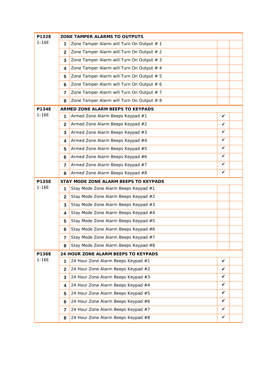| <b>P132E</b> |                | ZONE TAMPER ALARMS TO OUTPUTS             |              |  |
|--------------|----------------|-------------------------------------------|--------------|--|
| $1 - 16E$    | 1              | Zone Tamper Alarm will Turn On Output # 1 |              |  |
|              | $\mathbf{2}$   | Zone Tamper Alarm will Turn On Output # 2 |              |  |
|              | 3              | Zone Tamper Alarm will Turn On Output # 3 |              |  |
|              | 4              | Zone Tamper Alarm will Turn On Output # 4 |              |  |
|              | 5              | Zone Tamper Alarm will Turn On Output # 5 |              |  |
|              | 6              | Zone Tamper Alarm will Turn On Output # 6 |              |  |
|              | 7              | Zone Tamper Alarm will Turn On Output # 7 |              |  |
|              | 8              | Zone Tamper Alarm will Turn On Output # 8 |              |  |
| <b>P134E</b> |                | ARMED ZONE ALARM BEEPS TO KEYPADS         |              |  |
| $1 - 16E$    | 1              | Armed Zone Alarm Beeps Keypad #1          | ✓            |  |
|              | $\mathbf{2}$   | Armed Zone Alarm Beeps Keypad #2          | ✓            |  |
|              | 3              | Armed Zone Alarm Beeps Keypad #3          | ✓            |  |
|              | 4              | Armed Zone Alarm Beeps Keypad #4          | $\checkmark$ |  |
|              | 5              | Armed Zone Alarm Beeps Keypad #5          | ✓            |  |
|              | 6              | Armed Zone Alarm Beeps Keypad #6          | $\checkmark$ |  |
|              | 7              | Armed Zone Alarm Beeps Keypad #7          | ✓            |  |
|              | 8              | Armed Zone Alarm Beeps Keypad #8          | ✓            |  |
| P135E        |                | STAY MODE ZONE ALARM BEEPS TO KEYPADS     |              |  |
| $1 - 16E$    | 1              | Stay Mode Zone Alarm Beeps Keypad #1      |              |  |
|              | $\mathbf{2}$   | Stay Mode Zone Alarm Beeps Keypad #2      |              |  |
|              | 3              | Stay Mode Zone Alarm Beeps Keypad #3      |              |  |
|              | 4              | Stay Mode Zone Alarm Beeps Keypad #4      |              |  |
|              | 5              | Stay Mode Zone Alarm Beeps Keypad #5      |              |  |
|              | 6              | Stay Mode Zone Alarm Beeps Keypad #6      |              |  |
|              | $\overline{7}$ | Stay Mode Zone Alarm Beeps Keypad #7      |              |  |
|              | 8              | Stay Mode Zone Alarm Beeps Keypad #8      |              |  |
| <b>P136E</b> |                | 24 HOUR ZONE ALARM BEEPS TO KEYPADS       |              |  |
| $1 - 16E$    | 1              | 24 Hour Zone Alarm Beeps Keypad #1        | ✓            |  |
|              | $\mathbf{2}$   | 24 Hour Zone Alarm Beeps Keypad #2        | ✓            |  |
|              | 3              | 24 Hour Zone Alarm Beeps Keypad #3        | ✓            |  |
|              | 4              | 24 Hour Zone Alarm Beeps Keypad #4        | ✓            |  |
|              | 5              | 24 Hour Zone Alarm Beeps Keypad #5        | ✓            |  |
|              | 6              | 24 Hour Zone Alarm Beeps Keypad #6        | ✓            |  |
|              | 7              | 24 Hour Zone Alarm Beeps Keypad #7        | ✓            |  |
|              | 8              | 24 Hour Zone Alarm Beeps Keypad #8        | ✔            |  |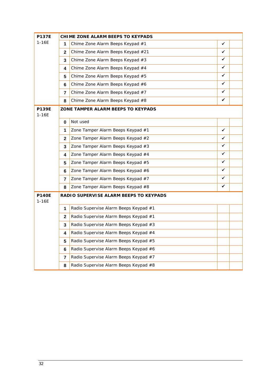| <b>P137E</b>              |                | CHIME ZONE ALARM BEEPS TO KEYPADS      |   |  |
|---------------------------|----------------|----------------------------------------|---|--|
| $1 - 16E$                 | 1              | Chime Zone Alarm Beeps Keypad #1       | ✓ |  |
|                           | $\mathbf{2}$   | Chime Zone Alarm Beeps Keypad #21      | ✓ |  |
|                           | 3              | Chime Zone Alarm Beeps Keypad #3       | ✔ |  |
|                           | 4              | Chime Zone Alarm Beeps Keypad #4       | ✓ |  |
|                           | 5              | Chime Zone Alarm Beeps Keypad #5       | ✔ |  |
|                           | 6              | Chime Zone Alarm Beeps Keypad #6       | ✓ |  |
|                           | 7              | Chime Zone Alarm Beeps Keypad #7       | ✔ |  |
|                           | 8              | Chime Zone Alarm Beeps Keypad #8       | ✓ |  |
| <b>P139E</b><br>$1 - 16E$ |                | ZONE TAMPER ALARM BEEPS TO KEYPADS     |   |  |
|                           | 0              | Not used                               |   |  |
|                           | 1              | Zone Tamper Alarm Beeps Keypad #1      | ✓ |  |
|                           | $\mathbf{2}$   | Zone Tamper Alarm Beeps Keypad #2      | ✓ |  |
|                           | 3              | Zone Tamper Alarm Beeps Keypad #3      | ✓ |  |
|                           | 4              | Zone Tamper Alarm Beeps Keypad #4      | ✓ |  |
|                           | 5              | Zone Tamper Alarm Beeps Keypad #5      | ✓ |  |
|                           | 6              | Zone Tamper Alarm Beeps Keypad #6      | ✓ |  |
|                           | $\overline{7}$ | Zone Tamper Alarm Beeps Keypad #7      | ✓ |  |
|                           | 8              | Zone Tamper Alarm Beeps Keypad #8      | ✓ |  |
| <b>P140E</b><br>$1 - 16E$ |                | RADIO SUPERVISE ALARM BEEPS TO KEYPADS |   |  |
|                           | 1              | Radio Supervise Alarm Beeps Keypad #1  |   |  |
|                           | $\mathbf{2}$   | Radio Supervise Alarm Beeps Keypad #1  |   |  |
|                           | 3              | Radio Supervise Alarm Beeps Keypad #3  |   |  |
|                           | 4              | Radio Supervise Alarm Beeps Keypad #4  |   |  |
|                           | 5              | Radio Supervise Alarm Beeps Keypad #5  |   |  |
|                           | 6              | Radio Supervise Alarm Beeps Keypad #6  |   |  |
|                           | 7              | Radio Supervise Alarm Beeps Keypad #7  |   |  |
|                           | 8              | Radio Supervise Alarm Beeps Keypad #8  |   |  |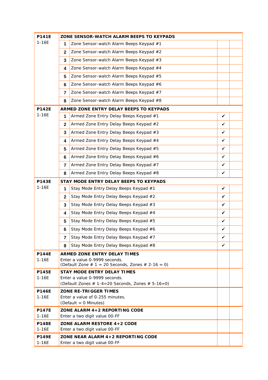| <b>P141E</b>              |              | ZONE SENSOR-WATCH ALARM BEEPS TO KEYPADS                                                |   |  |
|---------------------------|--------------|-----------------------------------------------------------------------------------------|---|--|
| $1 - 16E$                 | 1            | Zone Sensor-watch Alarm Beeps Keypad #1                                                 |   |  |
|                           | $\mathbf{2}$ | Zone Sensor-watch Alarm Beeps Keypad #2                                                 |   |  |
|                           | 3            | Zone Sensor-watch Alarm Beeps Keypad #3                                                 |   |  |
|                           | 4            | Zone Sensor-watch Alarm Beeps Keypad #4                                                 |   |  |
|                           | 5            | Zone Sensor-watch Alarm Beeps Keypad #5                                                 |   |  |
|                           | 6            | Zone Sensor-watch Alarm Beeps Keypad #6                                                 |   |  |
|                           | 7            | Zone Sensor-watch Alarm Beeps Keypad #7                                                 |   |  |
|                           | 8            | Zone Sensor-watch Alarm Beeps Keypad #8                                                 |   |  |
| <b>P142E</b>              |              | ARMED ZONE ENTRY DELAY BEEPS TO KEYPADS                                                 |   |  |
| $1 - 16E$                 | 1            | Armed Zone Entry Delay Beeps Keypad #1                                                  | ✓ |  |
|                           | $\mathbf{2}$ | Armed Zone Entry Delay Beeps Keypad #2                                                  | ✓ |  |
|                           | 3            | Armed Zone Entry Delay Beeps Keypad #3                                                  | ✓ |  |
|                           | 4            | Armed Zone Entry Delay Beeps Keypad #4                                                  | ✓ |  |
|                           | 5            | Armed Zone Entry Delay Beeps Keypad #5                                                  | ✓ |  |
|                           | 6            | Armed Zone Entry Delay Beeps Keypad #6                                                  | ✓ |  |
|                           | 7            | Armed Zone Entry Delay Beeps Keypad #7                                                  | ✓ |  |
|                           | 8            | Armed Zone Entry Delay Beeps Keypad #8                                                  | ✓ |  |
| <b>P143E</b>              |              | STAY MODE ENTRY DELAY BEEPS TO KEYPADS                                                  |   |  |
| $1 - 16E$                 | 1            | Stay Mode Entry Delay Beeps Keypad #1                                                   | ✓ |  |
|                           | $\mathbf{2}$ | Stay Mode Entry Delay Beeps Keypad #2                                                   | ✓ |  |
|                           | 3            | Stay Mode Entry Delay Beeps Keypad #3                                                   | ✓ |  |
|                           | 4            | Stay Mode Entry Delay Beeps Keypad #4                                                   | ✓ |  |
|                           | 5            | Stay Mode Entry Delay Beeps Keypad #5                                                   | ✓ |  |
|                           | 6            | Stay Mode Entry Delay Beeps Keypad #6                                                   | ✓ |  |
|                           | 7            | Stay Mode Entry Delay Beeps Keypad #7                                                   | ✓ |  |
|                           | 8            | Stay Mode Entry Delay Beeps Keypad #8                                                   | ✓ |  |
| <b>P144E</b>              |              | ARMED ZONE ENTRY DELAY TIMES                                                            |   |  |
| $1 - 16E$                 |              | Enter a value 0-9999 seconds.<br>(Default Zone $# 1 = 20$ Seconds, Zones $# 2-16 = 0$ ) |   |  |
| <b>P145E</b>              |              | <b>STAY MODE ENTRY DELAY TIMES</b>                                                      |   |  |
| $1 - 16E$                 |              | Enter a value 0-9999 seconds.<br>(Default Zones $# 1-4=20$ Seconds, Zones $# 5-16=0$ )  |   |  |
| <b>P146E</b>              |              | ZONE RE-TRIGGER TIMES                                                                   |   |  |
| $1 - 16E$                 |              | Enter a value of 0-255 minutes.                                                         |   |  |
|                           |              | (Default = 0 Minutes)                                                                   |   |  |
| <b>P147E</b>              |              | ZONE ALARM 4+2 REPORTING CODE                                                           |   |  |
| $1 - 16E$<br><b>P148E</b> |              | Enter a two digit value 00-FF<br>ZONE ALARM RESTORE 4+2 CODE                            |   |  |
| $1 - 16E$                 |              | Enter a two digit value 00-FF                                                           |   |  |
| <b>P149E</b>              |              | ZONE NEAR ALARM 4+2 REPORTING CODE                                                      |   |  |
| $1 - 16E$                 |              | Enter a two digit value 00-FF                                                           |   |  |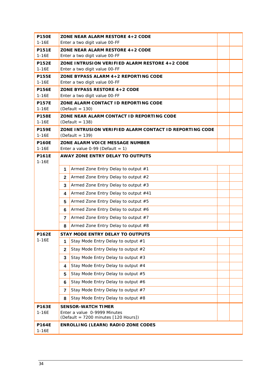| <b>P150E</b><br>$1 - 16E$ |                               | ZONE NEAR ALARM RESTORE 4+2 CODE<br>Enter a two digit value 00-FF |  |  |  |  |  |
|---------------------------|-------------------------------|-------------------------------------------------------------------|--|--|--|--|--|
| <b>P151E</b>              |                               | ZONE NEAR ALARM RESTORE 4+2 CODE                                  |  |  |  |  |  |
| $1 - 16E$                 |                               | Enter a two digit value 00-FF                                     |  |  |  |  |  |
| <b>P152E</b>              |                               | ZONE INTRUSION VERIFIED ALARM RESTORE 4+2 CODE                    |  |  |  |  |  |
| $1 - 16E$                 |                               | Enter a two digit value 00-FF                                     |  |  |  |  |  |
| <b>P155E</b>              |                               | ZONE BYPASS ALARM 4+2 REPORTING CODE                              |  |  |  |  |  |
| $1 - 16E$                 | Enter a two digit value 00-FF |                                                                   |  |  |  |  |  |
| <b>P156E</b>              | ZONE BYPASS RESTORE 4+2 CODE  |                                                                   |  |  |  |  |  |
| $1 - 16E$                 | Enter a two digit value 00-FF |                                                                   |  |  |  |  |  |
| <b>P157E</b><br>$1 - 16E$ |                               | ZONE ALARM CONTACT ID REPORTING CODE<br>(Default = $130$ )        |  |  |  |  |  |
| <b>P158E</b>              |                               | ZONE NEAR ALARM CONTACT ID REPORTING CODE                         |  |  |  |  |  |
| $1 - 16E$                 |                               | (Default = $138$ )                                                |  |  |  |  |  |
| <b>P159E</b>              |                               | ZONE INTRUSION VERIFIED ALARM CONTACT ID REPORTING CODE           |  |  |  |  |  |
| $1 - 16E$<br><b>P160E</b> |                               | (Default = $139$ )<br>ZONE ALARM VOICE MESSAGE NUMBER             |  |  |  |  |  |
| $1 - 16E$                 |                               | Enter a value $0-99$ (Default = 1)                                |  |  |  |  |  |
| <b>P161E</b>              |                               | AWAY ZONE ENTRY DELAY TO OUTPUTS                                  |  |  |  |  |  |
| $1 - 16E$                 |                               |                                                                   |  |  |  |  |  |
|                           | 1                             | Armed Zone Entry Delay to output #1                               |  |  |  |  |  |
|                           | $\mathbf{2}$                  | Armed Zone Entry Delay to output #2                               |  |  |  |  |  |
|                           | 3                             | Armed Zone Entry Delay to output #3                               |  |  |  |  |  |
|                           | 4                             | Armed Zone Entry Delay to output #41                              |  |  |  |  |  |
|                           | 5                             | Armed Zone Entry Delay to output #5                               |  |  |  |  |  |
|                           | 6                             | Armed Zone Entry Delay to output #6                               |  |  |  |  |  |
|                           | 7                             | Armed Zone Entry Delay to output #7                               |  |  |  |  |  |
|                           | 8                             | Armed Zone Entry Delay to output #8                               |  |  |  |  |  |
| <b>P162E</b>              |                               | STAY MODE ENTRY DELAY TO OUTPUTS                                  |  |  |  |  |  |
| $1 - 16E$                 | 1                             | Stay Mode Entry Delay to output #1                                |  |  |  |  |  |
|                           | $\mathbf{2}$                  | Stay Mode Entry Delay to output #2                                |  |  |  |  |  |
|                           | 3                             | Stay Mode Entry Delay to output #3                                |  |  |  |  |  |
|                           | 4                             | Stay Mode Entry Delay to output #4                                |  |  |  |  |  |
|                           | 5                             | Stay Mode Entry Delay to output #5                                |  |  |  |  |  |
|                           | 6                             | Stay Mode Entry Delay to output #6                                |  |  |  |  |  |
|                           | 7                             | Stay Mode Entry Delay to output #7                                |  |  |  |  |  |
|                           | 8                             | Stay Mode Entry Delay to output #8                                |  |  |  |  |  |
| <b>P163E</b>              |                               | <b>SENSOR-WATCH TIMER</b>                                         |  |  |  |  |  |
| $1 - 16E$                 |                               | Enter a value 0-9999 Minutes                                      |  |  |  |  |  |
|                           |                               | (Default = 7200 minutes [120 Hours])                              |  |  |  |  |  |
| <b>P164E</b><br>$1 - 16E$ |                               | ENROLLING (LEARN) RADIO ZONE CODES                                |  |  |  |  |  |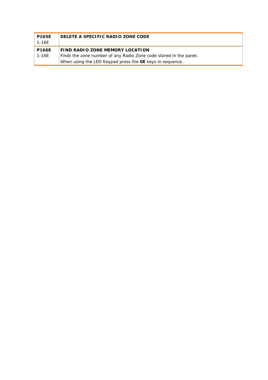| <b>P165E</b><br>$1 - 16E$ | DELETE A SPECIFIC RADIO ZONE CODE                                                                                             |  |
|---------------------------|-------------------------------------------------------------------------------------------------------------------------------|--|
| <b>P166E</b>              | FIND RADIO ZONE MEMORY LOCATION                                                                                               |  |
| $1 - 16E$                 | Finds the zone number of any Radio Zone code stored in the panel.<br>When using the LED Keypad press the OE keys in sequence. |  |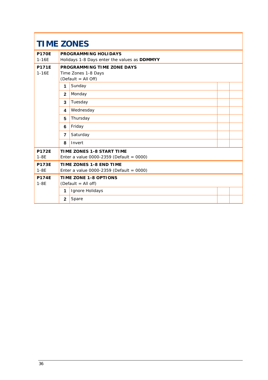| <b>TIME ZONES</b>         |                                                   |                                                                       |  |  |
|---------------------------|---------------------------------------------------|-----------------------------------------------------------------------|--|--|
| <b>P170F</b><br>$1-16E$   |                                                   | PROGRAMMING HOLIDAYS<br>Holidays 1-8 Days enter the values as DDMMYY  |  |  |
| <b>P171E</b><br>$1 - 16E$ | PROGRAMMING TIME ZONE DAYS<br>Time Zones 1-8 Days |                                                                       |  |  |
|                           | 1                                                 | (Default = All Off)<br>Sunday                                         |  |  |
|                           | $\overline{2}$                                    | Monday                                                                |  |  |
|                           | $\overline{3}$                                    | Tuesday                                                               |  |  |
|                           | 4                                                 | Wednesday                                                             |  |  |
|                           | 5                                                 | Thursday                                                              |  |  |
|                           | 6                                                 | Friday                                                                |  |  |
|                           | $\overline{7}$                                    | Saturday                                                              |  |  |
|                           | 8                                                 | Invert                                                                |  |  |
| <b>P172F</b><br>$1-8E$    |                                                   | TIME ZONES 1-8 START TIME<br>Enter a value 0000-2359 (Default = 0000) |  |  |
| <b>P173E</b><br>$1 - 8E$  |                                                   | TIME ZONES 1-8 END TIME<br>Enter a value 0000-2359 (Default = 0000)   |  |  |
| <b>P174F</b><br>$1 - 8E$  | TIME ZONE 1-8 OPTIONS<br>$(Default = All off)$    |                                                                       |  |  |
|                           | 1                                                 | Ignore Holidays                                                       |  |  |
|                           | $\overline{2}$                                    | Spare                                                                 |  |  |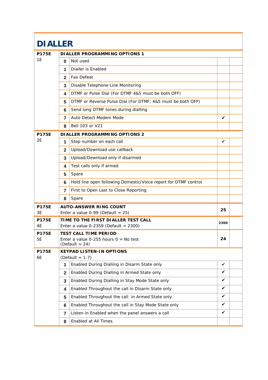|                    | <b>DIALLER</b> |                                                                                              |      |  |
|--------------------|----------------|----------------------------------------------------------------------------------------------|------|--|
| <b>P175E</b>       |                | DIALLER PROGRAMMING OPTIONS 1                                                                |      |  |
| 1E                 | 0              | Not used                                                                                     |      |  |
|                    | 1              | Dialler is Enabled                                                                           |      |  |
|                    | 2              | <b>Fax Defeat</b>                                                                            |      |  |
|                    | 3              | Disable Telephone Line Monitoring                                                            |      |  |
|                    | 4              | DTMF or Pulse Dial (For DTMF 4&5 must be both OFF)                                           |      |  |
|                    | 5              | DTMF or Reverse Pulse Dial (For DTMF, 4&5 must be both OFF)                                  |      |  |
|                    | 6              | Send long DTMF tones during dialling                                                         |      |  |
|                    | 7              | Auto Detect Modem Mode                                                                       | ✓    |  |
|                    | 8              | Bell 103 or V21                                                                              |      |  |
| <b>P175E</b>       |                | DIALLER PROGRAMMING OPTIONS 2                                                                |      |  |
| 2E                 | 1              | Step number on each call                                                                     | ✓    |  |
|                    | $\mathbf{2}$   | Upload/Download use callback                                                                 |      |  |
|                    | 3              | Upload/Download only if disarmed                                                             |      |  |
|                    | 4              | Test calls only if armed                                                                     |      |  |
|                    | 5              | Spare                                                                                        |      |  |
|                    | 6              | Hold line open following Domestic/Voice report for DTMF control                              |      |  |
|                    | 7              | First to Open Last to Close Reporting                                                        |      |  |
|                    | 8              | Spare                                                                                        |      |  |
| <b>P175E</b><br>3E |                | <b>AUTO-ANSWER RING COUNT</b><br>Enter a value $0-99$ (Default = 25)                         | 25   |  |
| <b>P175E</b><br>4E |                | TIME TO THE FIRST DIALLER TEST CALL<br>Enter a value $0-2359$ (Default = 2300)               | 2300 |  |
| <b>P175E</b><br>5E |                | <b>TEST CALL TIME PERIOD</b><br>Enter a value 0-255 hours $0 = No$ test<br>(Default = $24$ ) | 24   |  |
| <b>P175E</b><br>6E |                | <b>KEYPAD LISTEN-IN OPTIONS</b><br>$(Default = 1-7)$                                         |      |  |
|                    | 1              | Enabled During Dialling in Disarm State only                                                 | ✓    |  |
|                    | $\mathbf{2}$   | Enabled During Dialling in Armed State only                                                  | ✓    |  |
|                    | 3              | Enabled During Dialling in Stay Mode State only                                              | ✓    |  |
|                    | 4              | Enabled Throughout the call in Disarm State only                                             | ✓    |  |
|                    | 5.             | Enabled Throughout the call in Armed State only                                              | ✓    |  |
|                    | 6              | Enabled Throughout the call in Stay Mode State only                                          | ✓    |  |
|                    | 7              | Listen-in Enabled when the panel answers a call                                              | ✓    |  |
|                    | 8              | Enabled at All Times                                                                         |      |  |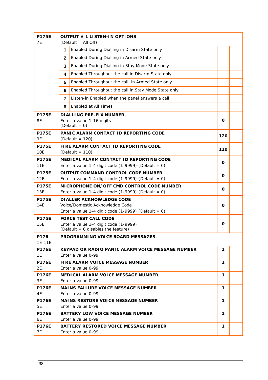| <b>P175E</b><br><b>7E</b>  | OUTPUT # 1 LISTEN-IN OPTIONS<br>(Default = All Off)                                                                        |                                                                        |              |  |  |  |  |
|----------------------------|----------------------------------------------------------------------------------------------------------------------------|------------------------------------------------------------------------|--------------|--|--|--|--|
|                            | 1                                                                                                                          | Enabled During Dialling in Disarm State only                           |              |  |  |  |  |
|                            | $\mathbf{2}$                                                                                                               | Enabled During Dialling in Armed State only                            |              |  |  |  |  |
|                            | 3                                                                                                                          | Enabled During Dialling in Stay Mode State only                        |              |  |  |  |  |
|                            | 4                                                                                                                          | Enabled Throughout the call in Disarm State only                       |              |  |  |  |  |
|                            | 5                                                                                                                          | Enabled Throughout the call in Armed State only                        |              |  |  |  |  |
|                            | 6                                                                                                                          | Enabled Throughout the call in Stay Mode State only                    |              |  |  |  |  |
|                            | 7                                                                                                                          | Listen-in Enabled when the panel answers a call                        |              |  |  |  |  |
|                            | 8                                                                                                                          | Enabled at All Times                                                   |              |  |  |  |  |
| <b>P175E</b>               |                                                                                                                            | DIALLING PRE-FIX NUMBER                                                |              |  |  |  |  |
| 8E                         |                                                                                                                            | Enter a value 1-16 digits<br>$(Default = 0)$                           | 0            |  |  |  |  |
| <b>P175E</b><br>9E         | PANIC ALARM CONTACT ID REPORTING CODE<br>(Default = $120$ )                                                                |                                                                        |              |  |  |  |  |
| <b>P175E</b><br><b>10E</b> | FIRE ALARM CONTACT ID REPORTING CODE<br>$(Default = 110)$                                                                  |                                                                        |              |  |  |  |  |
| <b>P175E</b><br>11E        | MEDICAL ALARM CONTACT ID REPORTING CODE<br>Enter a value 1-4 digit code $(1-9999)$ (Default = 0)                           |                                                                        |              |  |  |  |  |
| <b>P175E</b><br>12E        | OUTPUT COMMAND CONTROL CODE NUMBER<br>Enter a value 1-4 digit code $(1-9999)$ (Default = 0)                                |                                                                        |              |  |  |  |  |
| <b>P175E</b><br>13E        | MICROPHONE ON/OFF CMD CONTROL CODE NUMBER<br>Enter a value 1-4 digit code (1-9999) (Default = 0)                           |                                                                        |              |  |  |  |  |
| <b>P175E</b><br>14E        | DI ALLER ACKNOWLEDGE CODE<br>Voice/Domestic Acknowledge Code<br>0<br>Enter a value 1-4 digit code $(1-9999)$ (Default = 0) |                                                                        |              |  |  |  |  |
| <b>P175E</b><br><b>15E</b> | <b>FORCE TEST CALL CODE</b><br>Enter a value 1-4 digit code (1-9999)<br>(Default = 0 disables the feature)                 |                                                                        |              |  |  |  |  |
| P176<br>1E-11E             |                                                                                                                            | PROGRAMMING VOICE BOARD MESSAGES                                       |              |  |  |  |  |
| <b>P176E</b><br>1E         |                                                                                                                            | KEYPAD OR RADIO PANIC ALARM VOICE MESSAGE NUMBER<br>Enter a value 0-99 | 1            |  |  |  |  |
| <b>P176E</b><br>2E         |                                                                                                                            | FIRE ALARM VOICE MESSAGE NUMBER<br>Enter a value 0-99                  | 1            |  |  |  |  |
| <b>P176E</b><br>3E         |                                                                                                                            | MEDICAL ALARM VOICE MESSAGE NUMBER<br>Enter a value 0-99               | 1            |  |  |  |  |
| <b>P176E</b><br>4E         |                                                                                                                            | MAINS FAILURE VOICE MESSAGE NUMBER<br>Enter a value 0-99               | 1            |  |  |  |  |
| <b>P176E</b><br>5E         |                                                                                                                            | MAINS RESTORE VOICE MESSAGE NUMBER<br>Enter a value 0-99               | 1            |  |  |  |  |
| <b>P176E</b><br>6E         |                                                                                                                            | BATTERY LOW VOLCE MESSAGE NUMBER<br>Enter a value 0-99                 | $\mathbf{1}$ |  |  |  |  |
| <b>P176E</b><br>7E         |                                                                                                                            | BATTERY RESTORED VOICE MESSAGE NUMBER<br>1<br>Enter a value 0-99       |              |  |  |  |  |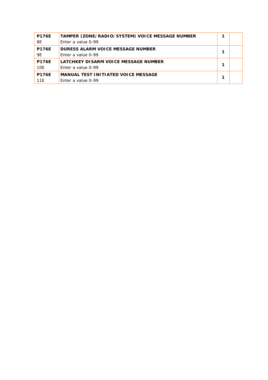| <b>P176E</b> | TAMPER (ZONE/RADIO/SYSTEM) VOICE MESSAGE NUMBER | 1 |  |
|--------------|-------------------------------------------------|---|--|
| 8E           | Enter a value 0-99                              |   |  |
| <b>P176E</b> | DURESS ALARM VOICE MESSAGE NUMBER               |   |  |
| 9E           | Enter a value 0-99                              | 1 |  |
| <b>P176F</b> | LATCHKEY DISARM VOICE MESSAGE NUMBER            | 1 |  |
| 10E          | Enter a value 0-99                              |   |  |
| <b>P176F</b> | MANUAL TEST INITIATED VOICE MESSAGE             | 1 |  |
| 11E          | Enter a value 0-99                              |   |  |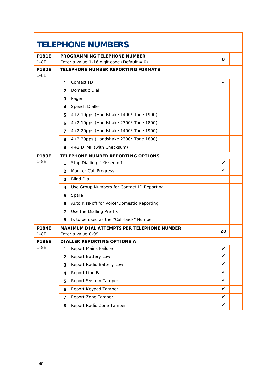| <b>TELEPHONE NUMBERS</b> |                |                                                                                      |              |  |
|--------------------------|----------------|--------------------------------------------------------------------------------------|--------------|--|
| <b>P181E</b><br>$1 - 8E$ |                | PROGRAMMING TELEPHONE NUMBER                                                         | 0            |  |
| <b>P182E</b>             |                | Enter a value 1-16 digit code (Default = $0$ )<br>TELEPHONE NUMBER REPORTING FORMATS |              |  |
| $1-8E$                   |                |                                                                                      |              |  |
|                          | 1              | Contact ID                                                                           | $\checkmark$ |  |
|                          | $\mathbf{2}$   | Domestic Dial                                                                        |              |  |
|                          | 3              | Pager                                                                                |              |  |
|                          | 4              | Speech Dialler                                                                       |              |  |
|                          | 5              | 4+2 10pps (Handshake 1400/ Tone 1900)                                                |              |  |
|                          | 6              | 4+2 10pps (Handshake 2300/ Tone 1800)                                                |              |  |
|                          | $\overline{7}$ | 4+2 20pps (Handshake 1400/ Tone 1900)                                                |              |  |
|                          | 8              | 4+2 20pps (Handshake 2300/ Tone 1800)                                                |              |  |
|                          | 9              | 4+2 DTMF (with Checksum)                                                             |              |  |
| <b>P183E</b>             |                | TELEPHONE NUMBER REPORTING OPTIONS                                                   |              |  |
| $1 - 8E$                 | 1              | Stop Dialling if Kissed off                                                          | ✓            |  |
|                          | $\mathbf{2}$   | <b>Monitor Call Progress</b>                                                         | ✓            |  |
|                          | 3              | <b>Blind Dial</b>                                                                    |              |  |
|                          | 4              | Use Group Numbers for Contact ID Reporting                                           |              |  |
|                          | 5              | Spare                                                                                |              |  |
|                          | 6              | Auto Kiss-off for Voice/Domestic Reporting                                           |              |  |
|                          | $\overline{7}$ | Use the Dialling Pre-fix                                                             |              |  |
|                          | 8              | Is to be used as the "Call-back" Number                                              |              |  |
| <b>P184E</b><br>$1 - 8E$ |                | MAXIMUM DIAL ATTEMPTS PER TELEPHONE NUMBER<br>Enter a value 0-99                     | 20           |  |
| <b>P186E</b>             |                | DIALLER REPORTING OPTIONS A                                                          |              |  |
| $1-8E$                   | $\mathbf{1}$   | Report Mains Failure                                                                 | ✔            |  |
|                          | $\mathbf{2}$   | Report Battery Low                                                                   | ✓            |  |
|                          | 3              | Report Radio Battery Low                                                             | ✓            |  |
|                          | 4              | Report Line Fail                                                                     | ✓            |  |
|                          | 5              | Report System Tamper                                                                 | ✓            |  |
|                          | 6              | Report Keypad Tamper                                                                 | ✓            |  |
|                          | $\overline{7}$ | Report Zone Tamper                                                                   | ✓            |  |
|                          | 8              | Report Radio Zone Tamper                                                             | ✓            |  |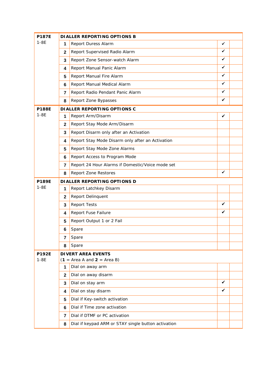| <b>P187E</b> |                | DIALLER REPORTING OPTIONS B                         |   |  |
|--------------|----------------|-----------------------------------------------------|---|--|
| $1-8E$       | 1              | Report Duress Alarm                                 | ✓ |  |
|              | $\mathbf{2}$   | Report Supervised Radio Alarm                       | ✓ |  |
|              | 3              | Report Zone Sensor-watch Alarm                      | ✓ |  |
|              | 4              | Report Manual Panic Alarm                           | ✓ |  |
|              | 5              | Report Manual Fire Alarm                            | ✓ |  |
|              | 6              | Report Manual Medical Alarm                         | ✓ |  |
|              | $\overline{7}$ | Report Radio Pendant Panic Alarm                    | ✓ |  |
|              | 8              | Report Zone Bypasses                                | ✓ |  |
| <b>P188E</b> |                | DIALLER REPORTING OPTIONS C                         |   |  |
| $1-8E$       | 1              | Report Arm/Disarm                                   | ✓ |  |
|              | $\mathbf{2}$   | Report Stay Mode Arm/Disarm                         |   |  |
|              | 3              | Report Disarm only after an Activation              |   |  |
|              | 4              | Report Stay Mode Disarm only after an Activation    |   |  |
|              | 5              | Report Stay Mode Zone Alarms                        |   |  |
|              | 6              | Report Access to Program Mode                       |   |  |
|              | 7              | Report 24 Hour Alarms if Domestic/Voice mode set    |   |  |
|              | 8              | Report Zone Restores                                | ✓ |  |
| <b>P189E</b> |                | DIALLER REPORTING OPTIONS D                         |   |  |
| $1-8E$       | 1              | Report Latchkey Disarm                              |   |  |
|              | $\mathbf{2}$   | Report Delinquent                                   |   |  |
|              | 3              | <b>Report Tests</b>                                 | ✓ |  |
|              | 4              | Report Fuse Failure                                 | ✓ |  |
|              | 5              | Report Output 1 or 2 Fail                           |   |  |
|              | 6              | Spare                                               |   |  |
|              | $\overline{7}$ | Spare                                               |   |  |
|              | 8              | Spare                                               |   |  |
| <b>P192E</b> |                | <b>DIVERT AREA EVENTS</b>                           |   |  |
| $1-8E$       |                | $(1 = Area A and 2 = Area B)$                       |   |  |
|              | 1              | Dial on away arm                                    |   |  |
|              | $\mathbf{2}$   | Dial on away disarm                                 | ✓ |  |
|              | 3              | Dial on stay arm                                    | ✓ |  |
|              | 4              | Dial on stay disarm                                 |   |  |
|              | 5              | Dial if Key-switch activation                       |   |  |
|              | 6              | Dial if Time zone activation                        |   |  |
|              | $\overline{7}$ | Dial if DTMF or PC activation                       |   |  |
|              | 8              | Dial if keypad ARM or STAY single button activation |   |  |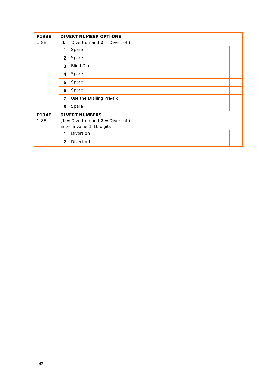| <b>P193E</b>                                     | DIVERT NUMBER OPTIONS |                                        |  |
|--------------------------------------------------|-----------------------|----------------------------------------|--|
| $1-8E$<br>$(1 =$ Divert on and $2 =$ Divert off) |                       |                                        |  |
|                                                  | 1                     | Spare                                  |  |
|                                                  | $\mathbf{2}$          | Spare                                  |  |
|                                                  | 3                     | <b>Blind Dial</b>                      |  |
|                                                  | 4                     | Spare                                  |  |
|                                                  | 5                     | Spare                                  |  |
|                                                  | 6                     | Spare                                  |  |
|                                                  | $\overline{7}$        | Use the Dialling Pre-fix               |  |
|                                                  | 8                     | Spare                                  |  |
| <b>P194E</b>                                     |                       | <b>DIVERT NUMBERS</b>                  |  |
| $1-8E$                                           |                       | $(1 =$ Divert on and $2 =$ Divert off) |  |
|                                                  |                       | Enter a value 1-16 digits              |  |
|                                                  | 1                     | Divert on                              |  |
|                                                  | $\mathbf{2}$          | Divert off                             |  |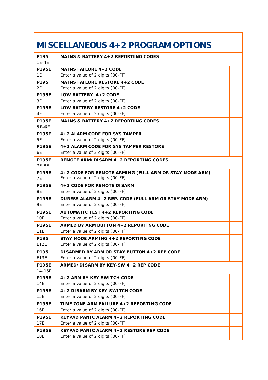# **MISCELLANEOUS 4+2 PROGRAM OPTIONS**

| P195                      | MAINS & BATTERY 4+2 REPORTING CODES                                                         |
|---------------------------|---------------------------------------------------------------------------------------------|
| $1E-4E$                   |                                                                                             |
| <b>P195E</b>              | MAINS FAILURE 4+2 CODE                                                                      |
| 1E                        | Enter a value of 2 digits (00-FF)                                                           |
| P195                      | MAINS FAILURE RESTORE 4+2 CODE                                                              |
| 2E                        | Enter a value of 2 digits (00-FF)                                                           |
| <b>P195E</b>              | LOW BATTERY 4+2 CODE                                                                        |
| 3E                        | Enter a value of 2 digits (00-FF)                                                           |
| <b>P195E</b>              | LOW BATTERY RESTORE 4+2 CODE                                                                |
| 4E                        | Enter a value of 2 digits (00-FF)                                                           |
| <b>P195E</b><br>5E-6E     | MAINS & BATTERY 4+2 REPORTING CODES                                                         |
| <b>P195E</b>              | 4+2 ALARM CODE FOR SYS TAMPER                                                               |
| 5E                        | Enter a value of 2 digits (00-FF)                                                           |
| <b>P195F</b>              | 4+2 ALARM CODE FOR SYS TAMPER RESTORE                                                       |
| 6E                        | Enter a value of 2 digits (00-FF)                                                           |
| <b>P195E</b><br>7E-8E     | REMOTE ARM/DISARM 4+2 REPORTING CODES                                                       |
| <b>P195F</b><br><b>7E</b> | 4+2 CODE FOR REMOTE ARMING (FULL ARM OR STAY MODE ARM)<br>Enter a value of 2 digits (00-FF) |
| <b>P195E</b><br>8E        | 4+2 CODE FOR REMOTE DISARM<br>Enter a value of 2 digits (00-FF)                             |
| <b>P195E</b>              | DURESS ALARM 4+2 REP. CODE (FULL ARM OR STAY MODE ARM)                                      |
| <b>9E</b>                 | Enter a value of 2 digits (00-FF)                                                           |
| <b>P195E</b>              | <b>AUTOMATIC TEST 4+2 REPORTING CODE</b>                                                    |
| 10E                       | Enter a value of 2 digits (00-FF)                                                           |
| <b>P195E</b>              | ARMED BY ARM BUTTON 4+2 REPORTING CODE                                                      |
| 11E                       | Enter a value of 2 digits (00-FF)                                                           |
| P195                      | STAY MODE ARMING 4+2 REPORTING CODE                                                         |
| E12E                      | Enter a value of 2 digits (00-FF)                                                           |
| P195                      | DISARMED BY ARM OR STAY BUTTON 4+2 REP CODE                                                 |
| E <sub>13E</sub>          | Enter a value of 2 digits (00-FF)                                                           |
| <b>P195E</b><br>14-15E    | ARMED/DISARM BY KEY-SW 4+2 REP CODE                                                         |
| <b>P195E</b>              | 4+2 ARM BY KEY-SWITCH CODE                                                                  |
| 14E                       | Enter a value of 2 digits (00-FF)                                                           |
| <b>P195E</b>              | 4+2 DISARM BY KEY-SWITCH CODE                                                               |
| 15E                       | Enter a value of 2 digits (00-FF)                                                           |
| <b>P195E</b>              | TIME ZONE ARM FAILURE 4+2 REPORTING CODE                                                    |
| 16E                       | Enter a value of 2 digits (00-FF)                                                           |
| <b>P195E</b>              | KEYPAD PANIC ALARM 4+2 REPORTING CODE                                                       |
| 17E                       | Enter a value of 2 digits (00-FF)                                                           |
| P195E                     | KEYPAD PANIC ALARM 4+2 RESTORE REP CODE                                                     |
| 18E                       | Enter a value of 2 digits (00-FF)                                                           |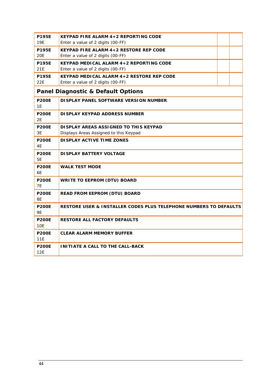| <b>P195E</b><br>19E       | KEYPAD FIRE ALARM 4+2 REPORTING CODE<br>Enter a value of 2 digits (00-FF)        |
|---------------------------|----------------------------------------------------------------------------------|
| <b>P195E</b><br>20E       | KEYPAD FIRE ALARM 4+2 RESTORE REP CODE<br>Enter a value of 2 digits (00-FF)      |
| <b>P195E</b><br>21E       | KEYPAD MEDICAL ALARM 4+2 REPORTING CODE<br>Enter a value of 2 digits (00-FF)     |
| <b>P195E</b><br>22E       | KEYPAD MEDICAL ALARM 4+2 RESTORE REP CODE<br>Enter a value of 2 digits (00-FF)   |
|                           | <b>Panel Diagnostic &amp; Default Options</b>                                    |
| <b>P200E</b><br>1E        | DISPLAY PANEL SOFTWARE VERSION NUMBER                                            |
| <b>P200E</b><br>2E        | DI SPLAY KEYPAD ADDRESS NUMBER                                                   |
| <b>P200E</b><br>3E        | DI SPLAY AREAS ASSIGNED TO THIS KEYPAD<br>Displays Areas Assigned to this Keypad |
| <b>P200E</b><br>4E        | DI SPLAY ACTIVE TIME ZONES                                                       |
| <b>P200E</b><br>5E        | DI SPLAY BATTERY VOLTAGE                                                         |
| <b>P200E</b><br>6E        | <b>WALK TEST MODE</b>                                                            |
| <b>P200E</b><br><b>7E</b> | WRITE TO EEPROM (DTU) BOARD                                                      |
| <b>P200E</b><br>8E        | READ FROM EEPROM (DTU) BOARD                                                     |
| <b>P200E</b><br>9E        | RESTORE USER & INSTALLER CODES PLUS TELEPHONE NUMBERS TO DEFAULTS                |
| <b>P200E</b><br>10E       | RESTORE ALL FACTORY DEFAULTS                                                     |
| <b>P200E</b><br>11E       | <b>CLEAR ALARM MEMORY BUFFER</b>                                                 |
| <b>P200E</b><br>12E       | INITIATE A CALL TO THE CALL-BACK                                                 |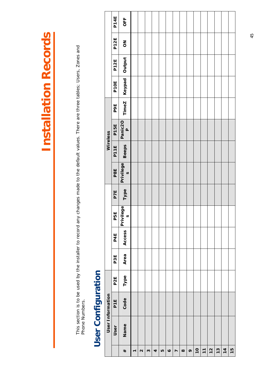This section is to be used by the installer to record any changes made to the default values. There are three tables; Users, Zones and<br>Phone Numbers. This section is to be used by the installer to record any changes made to the default values. There are three tables; Users, Zones and Phone Numbers.

# User Configuration **User Configuration**

|                  | P <sub>14E</sub> | OFF                       |                |                   |   |   |    |           |                |          |         |                |                |               |               |               |    |
|------------------|------------------|---------------------------|----------------|-------------------|---|---|----|-----------|----------------|----------|---------|----------------|----------------|---------------|---------------|---------------|----|
|                  | P <sub>12E</sub> | $\overline{5}$            |                |                   |   |   |    |           |                |          |         |                |                |               |               |               |    |
|                  | P <sub>12E</sub> | Output                    |                |                   |   |   |    |           |                |          |         |                |                |               |               |               |    |
|                  | P <sub>10E</sub> | Keypad                    |                |                   |   |   |    |           |                |          |         |                |                |               |               |               |    |
|                  | <b>PPE</b>       | TimeZ                     |                |                   |   |   |    |           |                |          |         |                |                |               |               |               |    |
|                  | P15E             | Panic2O<br>P              |                |                   |   |   |    |           |                |          |         |                |                |               |               |               |    |
| Wireless         | P <sub>11E</sub> | <b>Beeps</b>              |                |                   |   |   |    |           |                |          |         |                |                |               |               |               |    |
|                  | P8E              | Privilege<br>$\omega$     |                |                   |   |   |    |           |                |          |         |                |                |               |               |               |    |
|                  | <b>P7E</b>       | Type                      |                |                   |   |   |    |           |                |          |         |                |                |               |               |               |    |
|                  | P5E              | Privilege<br><sub>s</sub> |                |                   |   |   |    |           |                |          |         |                |                |               |               |               |    |
|                  | P4E              | Access                    |                |                   |   |   |    |           |                |          |         |                |                |               |               |               |    |
|                  | P3E              | Area                      |                |                   |   |   |    |           |                |          |         |                |                |               |               |               |    |
|                  | P2E              | Type                      |                |                   |   |   |    |           |                |          |         |                |                |               |               |               |    |
| User Information | P <sub>1E</sub>  | Code                      |                |                   |   |   |    |           |                |          |         |                |                |               |               |               |    |
|                  | User             | Name                      |                |                   |   |   |    |           |                |          |         |                |                |               |               |               |    |
|                  |                  | #                         | $\overline{ }$ | $\mathbf{\Omega}$ | M | 4 | LO | $\bullet$ | $\overline{ }$ | $\infty$ | $\circ$ | $\overline{0}$ | $\overline{1}$ | $\frac{2}{3}$ | $\frac{3}{3}$ | $\frac{4}{3}$ | 15 |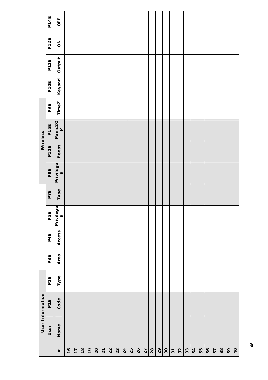|                  | P14E            | OFF                             |    |    |               |                |                |                  |    |    |    |    |    |    |      |    |    |                |    |    |    |    |    |    |    |    |                |
|------------------|-----------------|---------------------------------|----|----|---------------|----------------|----------------|------------------|----|----|----|----|----|----|------|----|----|----------------|----|----|----|----|----|----|----|----|----------------|
|                  | P12E            | $\mathop{\mathsf{SO}}\nolimits$ |    |    |               |                |                |                  |    |    |    |    |    |    |      |    |    |                |    |    |    |    |    |    |    |    |                |
|                  | P12E            | Output                          |    |    |               |                |                |                  |    |    |    |    |    |    |      |    |    |                |    |    |    |    |    |    |    |    |                |
|                  | P1OE            | Keypad                          |    |    |               |                |                |                  |    |    |    |    |    |    |      |    |    |                |    |    |    |    |    |    |    |    |                |
|                  | <b>PPE</b>      | TimeZ                           |    |    |               |                |                |                  |    |    |    |    |    |    |      |    |    |                |    |    |    |    |    |    |    |    |                |
|                  | P15E            | Panic2O<br>P                    |    |    |               |                |                |                  |    |    |    |    |    |    |      |    |    |                |    |    |    |    |    |    |    |    |                |
| Wireless         | P11E            | <b>Beeps</b>                    |    |    |               |                |                |                  |    |    |    |    |    |    |      |    |    |                |    |    |    |    |    |    |    |    |                |
|                  | P8E             | Privilege<br>$\omega$           |    |    |               |                |                |                  |    |    |    |    |    |    |      |    |    |                |    |    |    |    |    |    |    |    |                |
|                  | P7E             | Type                            |    |    |               |                |                |                  |    |    |    |    |    |    |      |    |    |                |    |    |    |    |    |    |    |    |                |
|                  | P5E             | Privilege<br>$\omega$           |    |    |               |                |                |                  |    |    |    |    |    |    |      |    |    |                |    |    |    |    |    |    |    |    |                |
|                  | P4E             | Access                          |    |    |               |                |                |                  |    |    |    |    |    |    |      |    |    |                |    |    |    |    |    |    |    |    |                |
|                  | P3E             | Area                            |    |    |               |                |                |                  |    |    |    |    |    |    |      |    |    |                |    |    |    |    |    |    |    |    |                |
|                  | P <sub>2E</sub> | Type                            |    |    |               |                |                |                  |    |    |    |    |    |    |      |    |    |                |    |    |    |    |    |    |    |    |                |
| User Information | P <sub>1E</sub> | Code                            |    |    |               |                |                |                  |    |    |    |    |    |    |      |    |    |                |    |    |    |    |    |    |    |    |                |
|                  | User            | Name                            |    |    |               |                |                |                  |    |    |    |    |    |    |      |    |    |                |    |    |    |    |    |    |    |    |                |
|                  |                 | #                               | 16 | 17 | $\frac{8}{1}$ | $\overline{1}$ | $\overline{2}$ | $\overline{2}$ 1 | 22 | 23 | 24 | 25 | 26 | 27 | $28$ | 29 | 30 | $\overline{3}$ | 32 | 33 | 34 | 35 | 36 | 37 | 38 | 39 | $\overline{a}$ |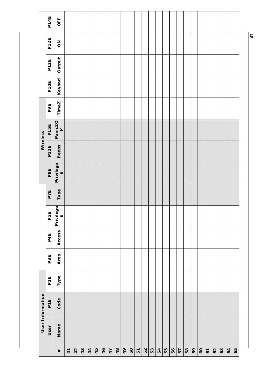|                  | P14E            | OFF                             |    |    |    |    |    |    |    |    |    |    |    |    |    |    |    |    |    |    |    |                |              |    |    |    |    |
|------------------|-----------------|---------------------------------|----|----|----|----|----|----|----|----|----|----|----|----|----|----|----|----|----|----|----|----------------|--------------|----|----|----|----|
|                  | P12E            | $\mathop{\mathsf{SO}}\nolimits$ |    |    |    |    |    |    |    |    |    |    |    |    |    |    |    |    |    |    |    |                |              |    |    |    |    |
|                  | P12E            | Output                          |    |    |    |    |    |    |    |    |    |    |    |    |    |    |    |    |    |    |    |                |              |    |    |    |    |
|                  | P10E            | Keypad                          |    |    |    |    |    |    |    |    |    |    |    |    |    |    |    |    |    |    |    |                |              |    |    |    |    |
|                  | <b>PPE</b>      | TimeZ                           |    |    |    |    |    |    |    |    |    |    |    |    |    |    |    |    |    |    |    |                |              |    |    |    |    |
|                  | P15E            | Panic2O<br>P                    |    |    |    |    |    |    |    |    |    |    |    |    |    |    |    |    |    |    |    |                |              |    |    |    |    |
| Wireless         | P11E            | <b>Beeps</b>                    |    |    |    |    |    |    |    |    |    |    |    |    |    |    |    |    |    |    |    |                |              |    |    |    |    |
|                  | P8E             | Privilege<br>$\omega$           |    |    |    |    |    |    |    |    |    |    |    |    |    |    |    |    |    |    |    |                |              |    |    |    |    |
|                  | P7E             | Type                            |    |    |    |    |    |    |    |    |    |    |    |    |    |    |    |    |    |    |    |                |              |    |    |    |    |
|                  | P5E             | Privilege<br>$\omega$           |    |    |    |    |    |    |    |    |    |    |    |    |    |    |    |    |    |    |    |                |              |    |    |    |    |
|                  | P4E             | Access                          |    |    |    |    |    |    |    |    |    |    |    |    |    |    |    |    |    |    |    |                |              |    |    |    |    |
|                  | P3E             | Area                            |    |    |    |    |    |    |    |    |    |    |    |    |    |    |    |    |    |    |    |                |              |    |    |    |    |
|                  | P <sub>2E</sub> | Type                            |    |    |    |    |    |    |    |    |    |    |    |    |    |    |    |    |    |    |    |                |              |    |    |    |    |
| User Information | P <sub>1E</sub> | Code                            |    |    |    |    |    |    |    |    |    |    |    |    |    |    |    |    |    |    |    |                |              |    |    |    |    |
|                  | User            | Name                            |    |    |    |    |    |    |    |    |    |    |    |    |    |    |    |    |    |    |    |                |              |    |    |    |    |
|                  |                 | #                               | 41 | 42 | 43 | 44 | 45 | 46 | 47 | 48 | 49 | 50 | 51 | 52 | 53 | 54 | 55 | 56 | 57 | 58 | 59 | $\overline{6}$ | $\mathbf{c}$ | 62 | 63 | 64 | 65 |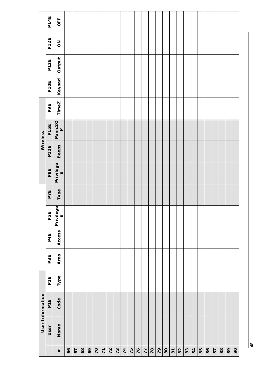|                  | P14E            | OFF                             |    |    |      |    |    |                 |    |    |    |    |    |    |    |    |    |                         |    |    |                |    |    |    |            |      |    |
|------------------|-----------------|---------------------------------|----|----|------|----|----|-----------------|----|----|----|----|----|----|----|----|----|-------------------------|----|----|----------------|----|----|----|------------|------|----|
|                  | P12E            | $\mathop{\mathsf{SO}}\nolimits$ |    |    |      |    |    |                 |    |    |    |    |    |    |    |    |    |                         |    |    |                |    |    |    |            |      |    |
|                  | P12E            | Output                          |    |    |      |    |    |                 |    |    |    |    |    |    |    |    |    |                         |    |    |                |    |    |    |            |      |    |
|                  | P1OE            | Keypad                          |    |    |      |    |    |                 |    |    |    |    |    |    |    |    |    |                         |    |    |                |    |    |    |            |      |    |
|                  | <b>PPE</b>      | TimeZ                           |    |    |      |    |    |                 |    |    |    |    |    |    |    |    |    |                         |    |    |                |    |    |    |            |      |    |
|                  | P15E            | Panic2O<br>P                    |    |    |      |    |    |                 |    |    |    |    |    |    |    |    |    |                         |    |    |                |    |    |    |            |      |    |
| Wireless         | P11E            | <b>Beeps</b>                    |    |    |      |    |    |                 |    |    |    |    |    |    |    |    |    |                         |    |    |                |    |    |    |            |      |    |
|                  | P8E             | Privilege<br>$\omega$           |    |    |      |    |    |                 |    |    |    |    |    |    |    |    |    |                         |    |    |                |    |    |    |            |      |    |
|                  | P7E             | Type                            |    |    |      |    |    |                 |    |    |    |    |    |    |    |    |    |                         |    |    |                |    |    |    |            |      |    |
|                  | P5E             | Privilege<br>$\omega$           |    |    |      |    |    |                 |    |    |    |    |    |    |    |    |    |                         |    |    |                |    |    |    |            |      |    |
|                  | P4E             | Access                          |    |    |      |    |    |                 |    |    |    |    |    |    |    |    |    |                         |    |    |                |    |    |    |            |      |    |
|                  | P3E             | Area                            |    |    |      |    |    |                 |    |    |    |    |    |    |    |    |    |                         |    |    |                |    |    |    |            |      |    |
|                  | P <sub>2E</sub> | Type                            |    |    |      |    |    |                 |    |    |    |    |    |    |    |    |    |                         |    |    |                |    |    |    |            |      |    |
| User Information | P <sub>1E</sub> | Code                            |    |    |      |    |    |                 |    |    |    |    |    |    |    |    |    |                         |    |    |                |    |    |    |            |      |    |
|                  | User            | Name                            |    |    |      |    |    |                 |    |    |    |    |    |    |    |    |    |                         |    |    |                |    |    |    |            |      |    |
|                  |                 | #                               | 66 | 67 | $68$ | 69 | 70 | $\overline{71}$ | 72 | 73 | 74 | 75 | 76 | 77 | 78 | 79 | 80 | $\overline{\mathtt{s}}$ | 82 | 83 | $\overline{8}$ | 85 | 86 | 87 | $^{\rm 8}$ | $89$ | 90 |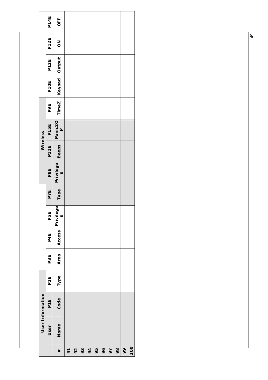|                  | P14E             | OFF                                   |                |    |    |    |    |    |    |    |    |     |
|------------------|------------------|---------------------------------------|----------------|----|----|----|----|----|----|----|----|-----|
|                  | P <sub>12E</sub> | $\frac{8}{10}$                        |                |    |    |    |    |    |    |    |    |     |
|                  | P <sub>12E</sub> |                                       |                |    |    |    |    |    |    |    |    |     |
|                  | P10E             | TimeZ   Keypad   Output               |                |    |    |    |    |    |    |    |    |     |
|                  | <b>PPE</b>       |                                       |                |    |    |    |    |    |    |    |    |     |
| Wireless         | P <sub>15E</sub> | Panic <sub>20</sub><br>$\overline{a}$ |                |    |    |    |    |    |    |    |    |     |
|                  | P11E             | <b>Beeps</b>                          |                |    |    |    |    |    |    |    |    |     |
|                  | P8E              | Privilege<br>$\sim$                   |                |    |    |    |    |    |    |    |    |     |
|                  | <b>P7E</b>       | Type                                  |                |    |    |    |    |    |    |    |    |     |
|                  | <b>P5E</b>       | Privilege<br>$\mathfrak o$            |                |    |    |    |    |    |    |    |    |     |
|                  | P4E              | Access                                |                |    |    |    |    |    |    |    |    |     |
|                  | P3E              | Area                                  |                |    |    |    |    |    |    |    |    |     |
|                  | P <sub>2E</sub>  | Type                                  |                |    |    |    |    |    |    |    |    |     |
| User Information | P <sub>1E</sub>  | Code                                  |                |    |    |    |    |    |    |    |    |     |
|                  | User             | Name                                  |                |    |    |    |    |    |    |    |    |     |
|                  |                  | #                                     | $\overline{6}$ | 92 | 93 | 94 | 95 | 96 | 97 | 98 | 99 | 100 |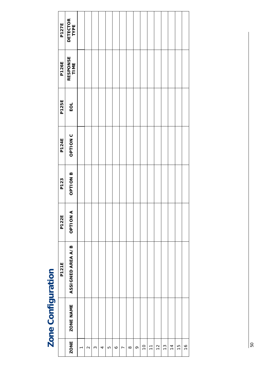| נ                       |
|-------------------------|
|                         |
|                         |
|                         |
|                         |
| $\overline{\mathbf{r}}$ |
|                         |
|                         |
|                         |
|                         |
| ì                       |
| ţ                       |
|                         |
| ź                       |
|                         |
|                         |

| <b>P127E</b> | DETECTOR<br>TYPE  |                |                   |          |   |    |         |                |          |         |                |                                     |               |               |               |                |               |
|--------------|-------------------|----------------|-------------------|----------|---|----|---------|----------------|----------|---------|----------------|-------------------------------------|---------------|---------------|---------------|----------------|---------------|
| <b>P126E</b> | RESPONSE<br>TIME  |                |                   |          |   |    |         |                |          |         |                |                                     |               |               |               |                |               |
| <b>P125E</b> | EOL               |                |                   |          |   |    |         |                |          |         |                |                                     |               |               |               |                |               |
| <b>P124E</b> | OPTION C          |                |                   |          |   |    |         |                |          |         |                |                                     |               |               |               |                |               |
| P123         | <b>B</b> NOILED   |                |                   |          |   |    |         |                |          |         |                |                                     |               |               |               |                |               |
| <b>P122E</b> | A<br>NOITION      |                |                   |          |   |    |         |                |          |         |                |                                     |               |               |               |                |               |
| <b>P121E</b> | ASSIGNED AREA A/B |                |                   |          |   |    |         |                |          |         |                |                                     |               |               |               |                |               |
|              | ZONE NAME         |                |                   |          |   |    |         |                |          |         |                |                                     |               |               |               |                |               |
|              | <b>ZONE</b>       | $\overline{ }$ | $\mathbf{\Omega}$ | $\infty$ | 4 | LO | $\circ$ | $\overline{ }$ | $\infty$ | $\circ$ | $\overline{0}$ | $\overline{\overline{\overline{}}}$ | $\frac{1}{2}$ | $\frac{3}{2}$ | $\frac{4}{3}$ | $\frac{15}{1}$ | $\frac{6}{1}$ |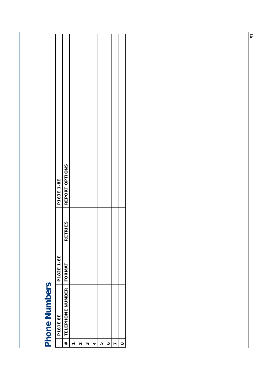| ١<br>j |
|--------|
|        |
|        |
|        |
| C      |
|        |
|        |

|                   | P181E 8E                | P182E1-8E     |               | P183E1-8E      |
|-------------------|-------------------------|---------------|---------------|----------------|
| #                 | <b>TELEPHONE NUMBER</b> | <b>FORMAT</b> | TRI ES<br>RET | REPORT OPTIONS |
| ٣                 |                         |               |               |                |
| $\mathbf{\Omega}$ |                         |               |               |                |
| $\infty$          |                         |               |               |                |
| 4                 |                         |               |               |                |
| IJ                |                         |               |               |                |
| $\circ$           |                         |               |               |                |
| r                 |                         |               |               |                |
| $\infty$          |                         |               |               |                |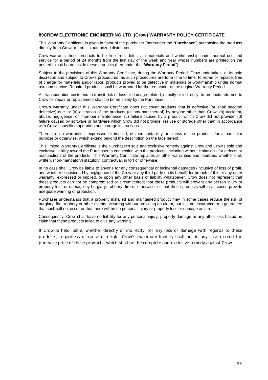#### **89CROW ELECTRONIC ENGINEERING LTD. (Crow) WARRANTY POLICY CERTIFICATE**

This Warranty Certificate is given in favor of the purchaser (hereunder the "**Purchaser**") purchasing the products directly from Crow or from its authorized distributor.

Crow warrants these products to be free from defects in materials and workmanship under normal use and service for a period of 24 months from the last day of the week and year whose numbers are printed on the printed circuit board inside these products (hereunder the "**Warranty Period**").

Subject to the provisions of this Warranty Certificate, during the Warranty Period, Crow undertakes, at its sole discretion and subject to Crow's procedures, as such procedures are form time to time, to repair or replace, free of charge for materials and/or labor, products proved to be defective in materials or workmanship under normal use and service. Repaired products shall be warranted for the remainder of the original Warranty Period.

All transportation costs and in-transit risk of loss or damage related, directly or indirectly, to products returned to Crow for repair or replacement shall be borne solely by the Purchaser.

Crow's warranty under this Warranty Certificate does not cover products that is defective (or shall become defective) due to: (a) alteration of the products (or any part thereof) by anyone other than Crow; (b) accident, abuse, negligence, or improper maintenance; (c) failure caused by a product which Crow did not provide; (d) failure caused by software or hardware which Crow did not provide; (e) use or storage other than in accordance with Crow's specified operating and storage instructions.

There are no warranties, expressed or implied, of merchantability or fitness of the products for a particular purpose or otherwise, which extend beyond the description on the face hereof.

This limited Warranty Certificate is the Purchaser's sole and exclusive remedy against Crow and Crow's sole and exclusive liability toward the Purchaser in connection with the products, including without limitation - for defects or malfunctions of the products. This Warranty Certificate replaces all other warranties and liabilities, whether oral, written, (non-mandatory) statutory, contractual, in tort or otherwise.

In no case shall Crow be liable to anyone for any consequential or incidental damages (inclusive of loss of profit, and whether occasioned by negligence of the Crow or any third party on its behalf) for breach of this or any other warranty, expressed or implied, or upon any other basis of liability whatsoever. Crow does not represent that these products can not be compromised or circumvented; that these products will prevent any person injury or property loss or damage by burglary, robbery, fire or otherwise; or that these products will in all cases provide adequate warning or protection.

Purchaser understands that a properly installed and maintained product may in some cases reduce the risk of burglary, fire, robbery or other events occurring without providing an alarm, but it is not insurance or a guarantee that such will not occur or that there will be no personal injury or property loss or damage as a result.

Consequently, Crow shall have no liability for any personal injury; property damage or any other loss based on claim that these products failed to give any warning.

If Crow is held liable, whether directly or indirectly, for any loss or damage with regards to these products, regardless of cause or origin, Crow's maximum liability shall not in any case exceed the purchase price of these products, which shall be the complete and exclusive remedy against Crow.